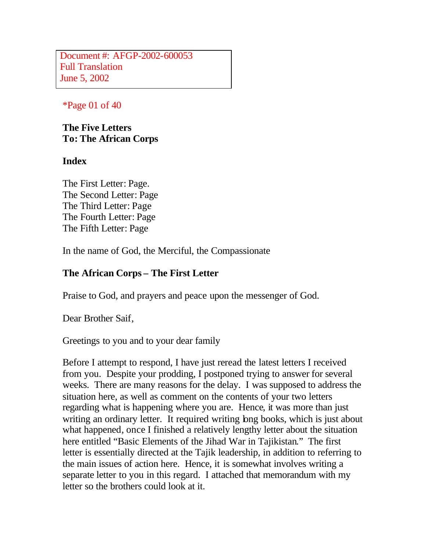Document #: AFGP-2002-600053 Full Translation June 5, 2002

#### \*Page 01 of 40

**The Five Letters To: The African Corps**

#### **Index**

The First Letter: Page. The Second Letter: Page The Third Letter: Page The Fourth Letter: Page The Fifth Letter: Page

In the name of God, the Merciful, the Compassionate

### **The African Corps – The First Letter**

Praise to God, and prayers and peace upon the messenger of God.

Dear Brother Saif,

Greetings to you and to your dear family

Before I attempt to respond, I have just reread the latest letters I received from you. Despite your prodding, I postponed trying to answer for several weeks. There are many reasons for the delay. I was supposed to address the situation here, as well as comment on the contents of your two letters regarding what is happening where you are. Hence, it was more than just writing an ordinary letter. It required writing long books, which is just about what happened, once I finished a relatively lengthy letter about the situation here entitled "Basic Elements of the Jihad War in Tajikistan." The first letter is essentially directed at the Tajik leadership, in addition to referring to the main issues of action here. Hence, it is somewhat involves writing a separate letter to you in this regard. I attached that memorandum with my letter so the brothers could look at it.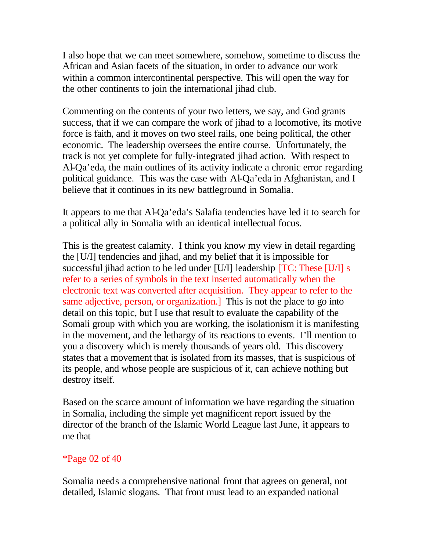I also hope that we can meet somewhere, somehow, sometime to discuss the African and Asian facets of the situation, in order to advance our work within a common intercontinental perspective. This will open the way for the other continents to join the international jihad club.

Commenting on the contents of your two letters, we say, and God grants success, that if we can compare the work of jihad to a locomotive, its motive force is faith, and it moves on two steel rails, one being political, the other economic. The leadership oversees the entire course. Unfortunately, the track is not yet complete for fully-integrated jihad action. With respect to Al-Qa'eda, the main outlines of its activity indicate a chronic error regarding political guidance. This was the case with Al-Qa'eda in Afghanistan, and I believe that it continues in its new battleground in Somalia.

It appears to me that Al-Qa'eda's Salafia tendencies have led it to search for a political ally in Somalia with an identical intellectual focus.

This is the greatest calamity. I think you know my view in detail regarding the [U/I] tendencies and jihad, and my belief that it is impossible for successful jihad action to be led under [U/I] leadership [TC: These [U/I] s refer to a series of symbols in the text inserted automatically when the electronic text was converted after acquisition. They appear to refer to the same adjective, person, or organization.] This is not the place to go into detail on this topic, but I use that result to evaluate the capability of the Somali group with which you are working, the isolationism it is manifesting in the movement, and the lethargy of its reactions to events. I'll mention to you a discovery which is merely thousands of years old. This discovery states that a movement that is isolated from its masses, that is suspicious of its people, and whose people are suspicious of it, can achieve nothing but destroy itself.

Based on the scarce amount of information we have regarding the situation in Somalia, including the simple yet magnificent report issued by the director of the branch of the Islamic World League last June, it appears to me that

## \*Page 02 of 40

Somalia needs a comprehensive national front that agrees on general, not detailed, Islamic slogans. That front must lead to an expanded national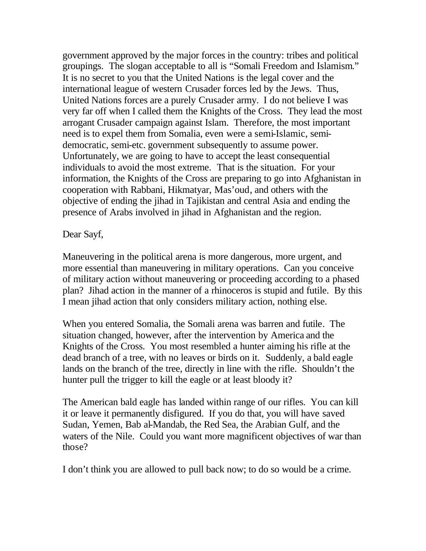government approved by the major forces in the country: tribes and political groupings. The slogan acceptable to all is "Somali Freedom and Islamism." It is no secret to you that the United Nations is the legal cover and the international league of western Crusader forces led by the Jews. Thus, United Nations forces are a purely Crusader army. I do not believe I was very far off when I called them the Knights of the Cross. They lead the most arrogant Crusader campaign against Islam. Therefore, the most important need is to expel them from Somalia, even were a semi-Islamic, semidemocratic, semi-etc. government subsequently to assume power. Unfortunately, we are going to have to accept the least consequential individuals to avoid the most extreme. That is the situation. For your information, the Knights of the Cross are preparing to go into Afghanistan in cooperation with Rabbani, Hikmatyar, Mas'oud, and others with the objective of ending the jihad in Tajikistan and central Asia and ending the presence of Arabs involved in jihad in Afghanistan and the region.

Dear Sayf,

Maneuvering in the political arena is more dangerous, more urgent, and more essential than maneuvering in military operations. Can you conceive of military action without maneuvering or proceeding according to a phased plan? Jihad action in the manner of a rhinoceros is stupid and futile. By this I mean jihad action that only considers military action, nothing else.

When you entered Somalia, the Somali arena was barren and futile. The situation changed, however, after the intervention by America and the Knights of the Cross. You most resembled a hunter aiming his rifle at the dead branch of a tree, with no leaves or birds on it. Suddenly, a bald eagle lands on the branch of the tree, directly in line with the rifle. Shouldn't the hunter pull the trigger to kill the eagle or at least bloody it?

The American bald eagle has landed within range of our rifles. You can kill it or leave it permanently disfigured. If you do that, you will have saved Sudan, Yemen, Bab al-Mandab, the Red Sea, the Arabian Gulf, and the waters of the Nile. Could you want more magnificent objectives of war than those?

I don't think you are allowed to pull back now; to do so would be a crime.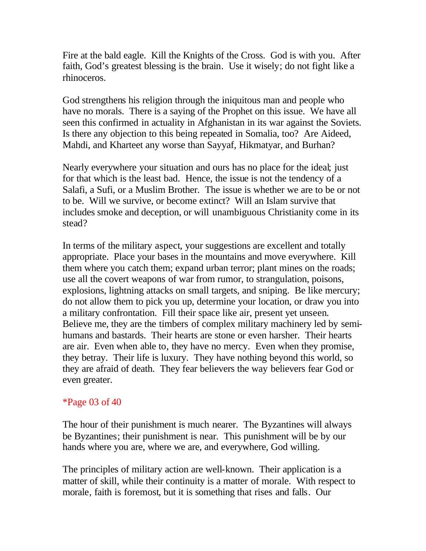Fire at the bald eagle. Kill the Knights of the Cross. God is with you. After faith, God's greatest blessing is the brain. Use it wisely; do not fight like a rhinoceros.

God strengthens his religion through the iniquitous man and people who have no morals. There is a saying of the Prophet on this issue. We have all seen this confirmed in actuality in Afghanistan in its war against the Soviets. Is there any objection to this being repeated in Somalia, too? Are Aideed, Mahdi, and Kharteet any worse than Sayyaf, Hikmatyar, and Burhan?

Nearly everywhere your situation and ours has no place for the ideal; just for that which is the least bad. Hence, the issue is not the tendency of a Salafi, a Sufi, or a Muslim Brother. The issue is whether we are to be or not to be. Will we survive, or become extinct? Will an Islam survive that includes smoke and deception, or will unambiguous Christianity come in its stead?

In terms of the military aspect, your suggestions are excellent and totally appropriate. Place your bases in the mountains and move everywhere. Kill them where you catch them; expand urban terror; plant mines on the roads; use all the covert weapons of war from rumor, to strangulation, poisons, explosions, lightning attacks on small targets, and sniping. Be like mercury; do not allow them to pick you up, determine your location, or draw you into a military confrontation. Fill their space like air, present yet unseen. Believe me, they are the timbers of complex military machinery led by semihumans and bastards. Their hearts are stone or even harsher. Their hearts are air. Even when able to, they have no mercy. Even when they promise, they betray. Their life is luxury. They have nothing beyond this world, so they are afraid of death. They fear believers the way believers fear God or even greater.

#### \*Page 03 of 40

The hour of their punishment is much nearer. The Byzantines will always be Byzantines; their punishment is near. This punishment will be by our hands where you are, where we are, and everywhere, God willing.

The principles of military action are well-known. Their application is a matter of skill, while their continuity is a matter of morale. With respect to morale, faith is foremost, but it is something that rises and falls. Our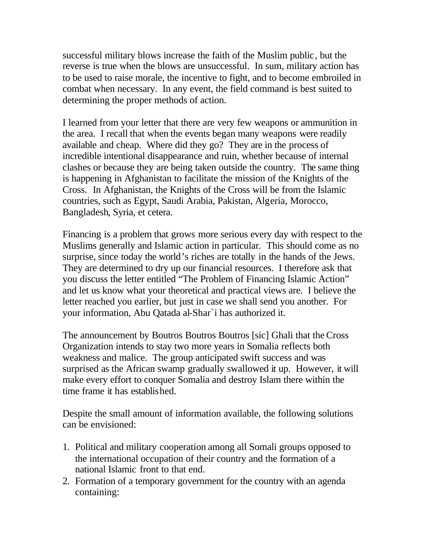successful military blows increase the faith of the Muslim public, but the reverse is true when the blows are unsuccessful. In sum, military action has to be used to raise morale, the incentive to fight, and to become embroiled in combat when necessary. In any event, the field command is best suited to determining the proper methods of action.

I learned from your letter that there are very few weapons or ammunition in the area. I recall that when the events began many weapons were readily available and cheap. Where did they go? They are in the process of incredible intentional disappearance and ruin, whether because of internal clashes or because they are being taken outside the country. The same thing is happening in Afghanistan to facilitate the mission of the Knights of the Cross. In Afghanistan, the Knights of the Cross will be from the Islamic countries, such as Egypt, Saudi Arabia, Pakistan, Algeria, Morocco, Bangladesh, Syria, et cetera.

Financing is a problem that grows more serious every day with respect to the Muslims generally and Islamic action in particular. This should come as no surprise, since today the world's riches are totally in the hands of the Jews. They are determined to dry up our financial resources. I therefore ask that you discuss the letter entitled "The Problem of Financing Islamic Action" and let us know what your theoretical and practical views are. I believe the letter reached you earlier, but just in case we shall send you another. For your information, Abu Qatada al-Shar`i has authorized it.

The announcement by Boutros Boutros Boutros [sic] Ghali that the Cross Organization intends to stay two more years in Somalia reflects both weakness and malice. The group anticipated swift success and was surprised as the African swamp gradually swallowed it up. However, it will make every effort to conquer Somalia and destroy Islam there within the time frame it has established.

Despite the small amount of information available, the following solutions can be envisioned:

- 1. Political and military cooperation among all Somali groups opposed to the international occupation of their country and the formation of a national Islamic front to that end.
- 2. Formation of a temporary government for the country with an agenda containing: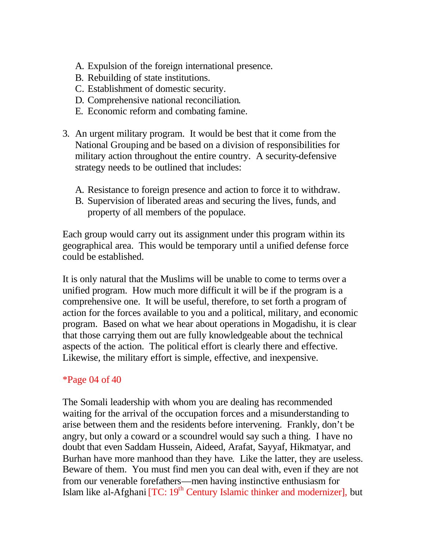- A. Expulsion of the foreign international presence.
- B. Rebuilding of state institutions.
- C. Establishment of domestic security.
- D. Comprehensive national reconciliation.
- E. Economic reform and combating famine.
- 3. An urgent military program. It would be best that it come from the National Grouping and be based on a division of responsibilities for military action throughout the entire country. A security-defensive strategy needs to be outlined that includes:
	- A. Resistance to foreign presence and action to force it to withdraw.
	- B. Supervision of liberated areas and securing the lives, funds, and property of all members of the populace.

Each group would carry out its assignment under this program within its geographical area. This would be temporary until a unified defense force could be established.

It is only natural that the Muslims will be unable to come to terms over a unified program. How much more difficult it will be if the program is a comprehensive one. It will be useful, therefore, to set forth a program of action for the forces available to you and a political, military, and economic program. Based on what we hear about operations in Mogadishu, it is clear that those carrying them out are fully knowledgeable about the technical aspects of the action. The political effort is clearly there and effective. Likewise, the military effort is simple, effective, and inexpensive.

## \*Page 04 of 40

The Somali leadership with whom you are dealing has recommended waiting for the arrival of the occupation forces and a misunderstanding to arise between them and the residents before intervening. Frankly, don't be angry, but only a coward or a scoundrel would say such a thing. I have no doubt that even Saddam Hussein, Aideed, Arafat, Sayyaf, Hikmatyar, and Burhan have more manhood than they have. Like the latter, they are useless. Beware of them. You must find men you can deal with, even if they are not from our venerable forefathers—men having instinctive enthusiasm for Islam like al-Afghani  $[TC: 19<sup>th</sup> Century Islamic thinner and modernizer], but$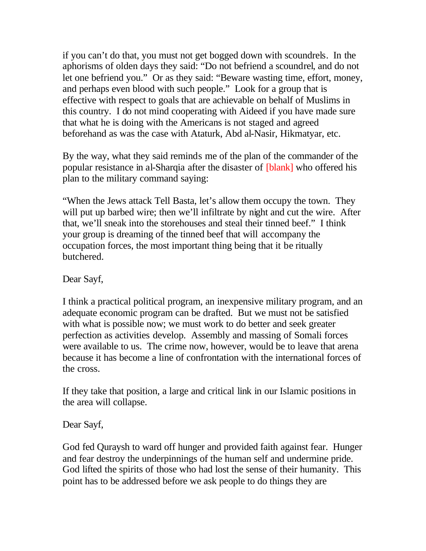if you can't do that, you must not get bogged down with scoundrels. In the aphorisms of olden days they said: "Do not befriend a scoundrel, and do not let one befriend you." Or as they said: "Beware wasting time, effort, money, and perhaps even blood with such people." Look for a group that is effective with respect to goals that are achievable on behalf of Muslims in this country. I do not mind cooperating with Aideed if you have made sure that what he is doing with the Americans is not staged and agreed beforehand as was the case with Ataturk, Abd al-Nasir, Hikmatyar, etc.

By the way, what they said reminds me of the plan of the commander of the popular resistance in al-Sharqia after the disaster of [blank] who offered his plan to the military command saying:

"When the Jews attack Tell Basta, let's allow them occupy the town. They will put up barbed wire; then we'll infiltrate by night and cut the wire. After that, we'll sneak into the storehouses and steal their tinned beef." I think your group is dreaming of the tinned beef that will accompany the occupation forces, the most important thing being that it be ritually butchered.

Dear Sayf,

I think a practical political program, an inexpensive military program, and an adequate economic program can be drafted. But we must not be satisfied with what is possible now; we must work to do better and seek greater perfection as activities develop. Assembly and massing of Somali forces were available to us. The crime now, however, would be to leave that arena because it has become a line of confrontation with the international forces of the cross.

If they take that position, a large and critical link in our Islamic positions in the area will collapse.

Dear Sayf,

God fed Quraysh to ward off hunger and provided faith against fear. Hunger and fear destroy the underpinnings of the human self and undermine pride. God lifted the spirits of those who had lost the sense of their humanity. This point has to be addressed before we ask people to do things they are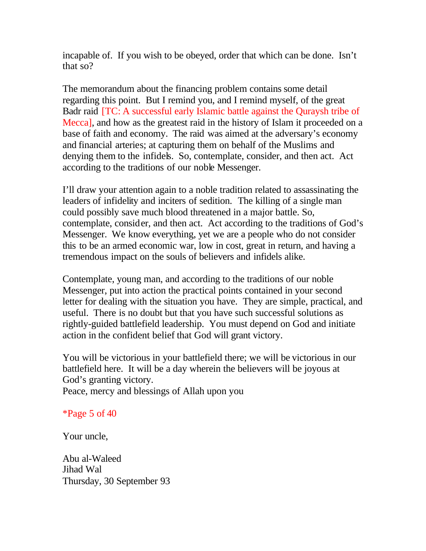incapable of. If you wish to be obeyed, order that which can be done. Isn't that so?

The memorandum about the financing problem contains some detail regarding this point. But I remind you, and I remind myself, of the great Badr raid [TC: A successful early Islamic battle against the Quraysh tribe of Mecca], and how as the greatest raid in the history of Islam it proceeded on a base of faith and economy. The raid was aimed at the adversary's economy and financial arteries; at capturing them on behalf of the Muslims and denying them to the infidels. So, contemplate, consider, and then act. Act according to the traditions of our noble Messenger.

I'll draw your attention again to a noble tradition related to assassinating the leaders of infidelity and inciters of sedition. The killing of a single man could possibly save much blood threatened in a major battle. So, contemplate, consider, and then act. Act according to the traditions of God's Messenger. We know everything, yet we are a people who do not consider this to be an armed economic war, low in cost, great in return, and having a tremendous impact on the souls of believers and infidels alike.

Contemplate, young man, and according to the traditions of our noble Messenger, put into action the practical points contained in your second letter for dealing with the situation you have. They are simple, practical, and useful. There is no doubt but that you have such successful solutions as rightly-guided battlefield leadership. You must depend on God and initiate action in the confident belief that God will grant victory.

You will be victorious in your battlefield there; we will be victorious in our battlefield here. It will be a day wherein the believers will be joyous at God's granting victory. Peace, mercy and blessings of Allah upon you

\*Page 5 of 40

Your uncle,

Abu al-Waleed Jihad Wal Thursday, 30 September 93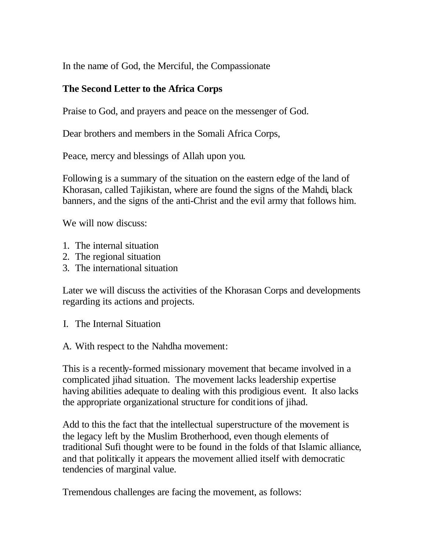In the name of God, the Merciful, the Compassionate

# **The Second Letter to the Africa Corps**

Praise to God, and prayers and peace on the messenger of God.

Dear brothers and members in the Somali Africa Corps,

Peace, mercy and blessings of Allah upon you.

Following is a summary of the situation on the eastern edge of the land of Khorasan, called Tajikistan, where are found the signs of the Mahdi, black banners, and the signs of the anti-Christ and the evil army that follows him.

We will now discuss:

- 1. The internal situation
- 2. The regional situation
- 3. The international situation

Later we will discuss the activities of the Khorasan Corps and developments regarding its actions and projects.

- I. The Internal Situation
- A. With respect to the Nahdha movement:

This is a recently-formed missionary movement that became involved in a complicated jihad situation. The movement lacks leadership expertise having abilities adequate to dealing with this prodigious event. It also lacks the appropriate organizational structure for conditions of jihad.

Add to this the fact that the intellectual superstructure of the movement is the legacy left by the Muslim Brotherhood, even though elements of traditional Sufi thought were to be found in the folds of that Islamic alliance, and that politically it appears the movement allied itself with democratic tendencies of marginal value.

Tremendous challenges are facing the movement, as follows: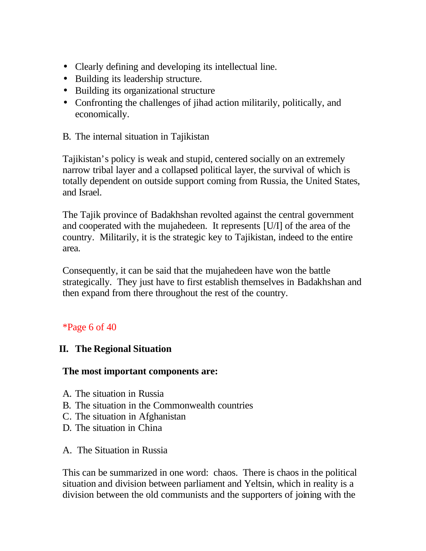- Clearly defining and developing its intellectual line.
- Building its leadership structure.
- Building its organizational structure
- Confronting the challenges of jihad action militarily, politically, and economically.

## B. The internal situation in Tajikistan

Tajikistan's policy is weak and stupid, centered socially on an extremely narrow tribal layer and a collapsed political layer, the survival of which is totally dependent on outside support coming from Russia, the United States, and Israel.

The Tajik province of Badakhshan revolted against the central government and cooperated with the mujahedeen. It represents [U/I] of the area of the country. Militarily, it is the strategic key to Tajikistan, indeed to the entire area.

Consequently, it can be said that the mujahedeen have won the battle strategically. They just have to first establish themselves in Badakhshan and then expand from there throughout the rest of the country.

## \*Page 6 of 40

## **II. The Regional Situation**

#### **The most important components are:**

- A. The situation in Russia
- B. The situation in the Commonwealth countries
- C. The situation in Afghanistan
- D. The situation in China
- A. The Situation in Russia

This can be summarized in one word: chaos. There is chaos in the political situation and division between parliament and Yeltsin, which in reality is a division between the old communists and the supporters of joining with the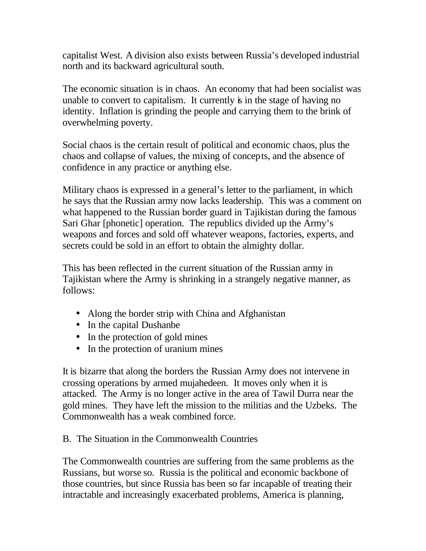capitalist West. A division also exists between Russia's developed industrial north and its backward agricultural south.

The economic situation is in chaos. An economy that had been socialist was unable to convert to capitalism. It currently is in the stage of having no identity. Inflation is grinding the people and carrying them to the brink of overwhelming poverty.

Social chaos is the certain result of political and economic chaos, plus the chaos and collapse of values, the mixing of concepts, and the absence of confidence in any practice or anything else.

Military chaos is expressed in a general's letter to the parliament, in which he says that the Russian army now lacks leadership. This was a comment on what happened to the Russian border guard in Tajikistan during the famous Sari Ghar [phonetic] operation. The republics divided up the Army's weapons and forces and sold off whatever weapons, factories, experts, and secrets could be sold in an effort to obtain the almighty dollar.

This has been reflected in the current situation of the Russian army in Tajikistan where the Army is shrinking in a strangely negative manner, as follows:

- Along the border strip with China and Afghanistan
- In the capital Dushanbe
- In the protection of gold mines
- In the protection of uranium mines

It is bizarre that along the borders the Russian Army does not intervene in crossing operations by armed mujahedeen. It moves only when it is attacked. The Army is no longer active in the area of Tawil Durra near the gold mines. They have left the mission to the militias and the Uzbeks. The Commonwealth has a weak combined force.

# B. The Situation in the Commonwealth Countries

The Commonwealth countries are suffering from the same problems as the Russians, but worse so. Russia is the political and economic backbone of those countries, but since Russia has been so far incapable of treating their intractable and increasingly exacerbated problems, America is planning,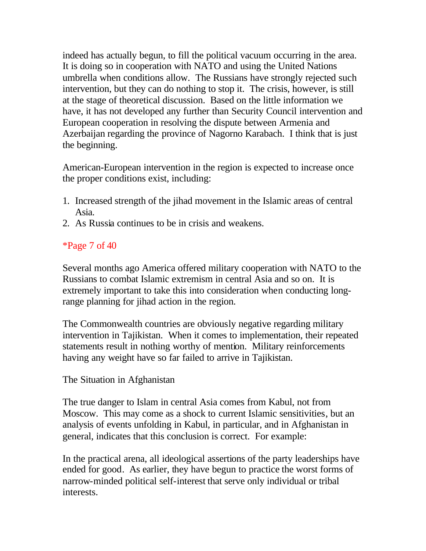indeed has actually begun, to fill the political vacuum occurring in the area. It is doing so in cooperation with NATO and using the United Nations umbrella when conditions allow. The Russians have strongly rejected such intervention, but they can do nothing to stop it. The crisis, however, is still at the stage of theoretical discussion. Based on the little information we have, it has not developed any further than Security Council intervention and European cooperation in resolving the dispute between Armenia and Azerbaijan regarding the province of Nagorno Karabach. I think that is just the beginning.

American-European intervention in the region is expected to increase once the proper conditions exist, including:

- 1. Increased strength of the jihad movement in the Islamic areas of central Asia.
- 2. As Russia continues to be in crisis and weakens.

# \*Page 7 of 40

Several months ago America offered military cooperation with NATO to the Russians to combat Islamic extremism in central Asia and so on. It is extremely important to take this into consideration when conducting longrange planning for jihad action in the region.

The Commonwealth countries are obviously negative regarding military intervention in Tajikistan. When it comes to implementation, their repeated statements result in nothing worthy of mention. Military reinforcements having any weight have so far failed to arrive in Tajikistan.

## The Situation in Afghanistan

The true danger to Islam in central Asia comes from Kabul, not from Moscow. This may come as a shock to current Islamic sensitivities, but an analysis of events unfolding in Kabul, in particular, and in Afghanistan in general, indicates that this conclusion is correct. For example:

In the practical arena, all ideological assertions of the party leaderships have ended for good. As earlier, they have begun to practice the worst forms of narrow-minded political self-interest that serve only individual or tribal interests.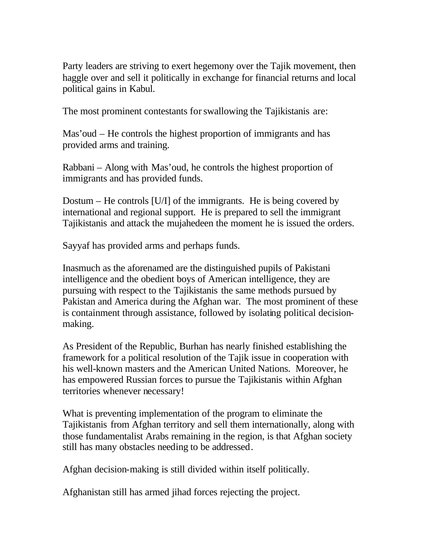Party leaders are striving to exert hegemony over the Tajik movement, then haggle over and sell it politically in exchange for financial returns and local political gains in Kabul.

The most prominent contestants for swallowing the Tajikistanis are:

Mas'oud – He controls the highest proportion of immigrants and has provided arms and training.

Rabbani – Along with Mas'oud, he controls the highest proportion of immigrants and has provided funds.

Dostum – He controls [U/I] of the immigrants. He is being covered by international and regional support. He is prepared to sell the immigrant Tajikistanis and attack the mujahedeen the moment he is issued the orders.

Sayyaf has provided arms and perhaps funds.

Inasmuch as the aforenamed are the distinguished pupils of Pakistani intelligence and the obedient boys of American intelligence, they are pursuing with respect to the Tajikistanis the same methods pursued by Pakistan and America during the Afghan war. The most prominent of these is containment through assistance, followed by isolating political decisionmaking.

As President of the Republic, Burhan has nearly finished establishing the framework for a political resolution of the Tajik issue in cooperation with his well-known masters and the American United Nations. Moreover, he has empowered Russian forces to pursue the Tajikistanis within Afghan territories whenever necessary!

What is preventing implementation of the program to eliminate the Tajikistanis from Afghan territory and sell them internationally, along with those fundamentalist Arabs remaining in the region, is that Afghan society still has many obstacles needing to be addressed.

Afghan decision-making is still divided within itself politically.

Afghanistan still has armed jihad forces rejecting the project.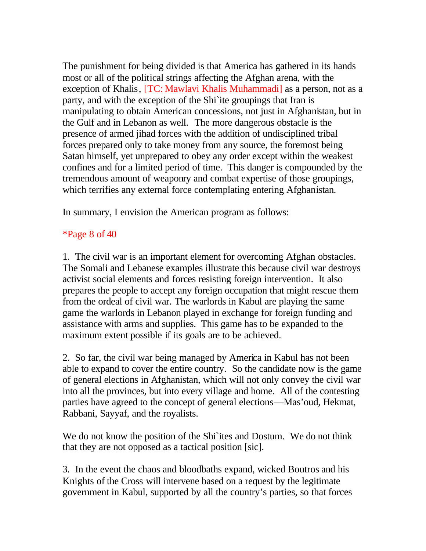The punishment for being divided is that America has gathered in its hands most or all of the political strings affecting the Afghan arena, with the exception of Khalis, [TC: Mawlavi Khalis Muhammadi] as a person, not as a party, and with the exception of the Shi`ite groupings that Iran is manipulating to obtain American concessions, not just in Afghanistan, but in the Gulf and in Lebanon as well. The more dangerous obstacle is the presence of armed jihad forces with the addition of undisciplined tribal forces prepared only to take money from any source, the foremost being Satan himself, yet unprepared to obey any order except within the weakest confines and for a limited period of time. This danger is compounded by the tremendous amount of weaponry and combat expertise of those groupings, which terrifies any external force contemplating entering Afghanistan.

In summary, I envision the American program as follows:

## \*Page 8 of 40

1. The civil war is an important element for overcoming Afghan obstacles. The Somali and Lebanese examples illustrate this because civil war destroys activist social elements and forces resisting foreign intervention. It also prepares the people to accept any foreign occupation that might rescue them from the ordeal of civil war. The warlords in Kabul are playing the same game the warlords in Lebanon played in exchange for foreign funding and assistance with arms and supplies. This game has to be expanded to the maximum extent possible if its goals are to be achieved.

2. So far, the civil war being managed by America in Kabul has not been able to expand to cover the entire country. So the candidate now is the game of general elections in Afghanistan, which will not only convey the civil war into all the provinces, but into every village and home. All of the contesting parties have agreed to the concept of general elections—Mas'oud, Hekmat, Rabbani, Sayyaf, and the royalists.

We do not know the position of the Shi ites and Dostum. We do not think that they are not opposed as a tactical position [sic].

3. In the event the chaos and bloodbaths expand, wicked Boutros and his Knights of the Cross will intervene based on a request by the legitimate government in Kabul, supported by all the country's parties, so that forces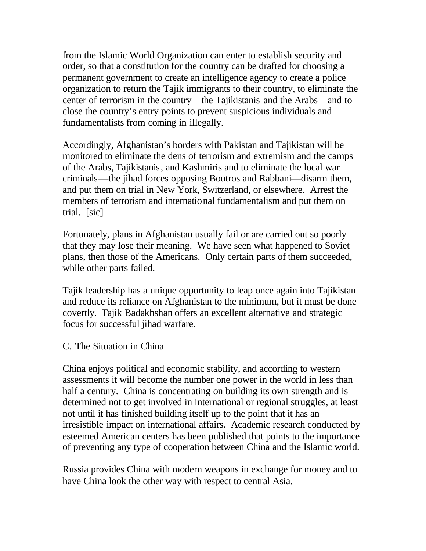from the Islamic World Organization can enter to establish security and order, so that a constitution for the country can be drafted for choosing a permanent government to create an intelligence agency to create a police organization to return the Tajik immigrants to their country, to eliminate the center of terrorism in the country—the Tajikistanis and the Arabs—and to close the country's entry points to prevent suspicious individuals and fundamentalists from coming in illegally.

Accordingly, Afghanistan's borders with Pakistan and Tajikistan will be monitored to eliminate the dens of terrorism and extremism and the camps of the Arabs, Tajikistanis, and Kashmiris and to eliminate the local war criminals—the jihad forces opposing Boutros and Rabbani—disarm them, and put them on trial in New York, Switzerland, or elsewhere. Arrest the members of terrorism and international fundamentalism and put them on trial. [sic]

Fortunately, plans in Afghanistan usually fail or are carried out so poorly that they may lose their meaning. We have seen what happened to Soviet plans, then those of the Americans. Only certain parts of them succeeded, while other parts failed.

Tajik leadership has a unique opportunity to leap once again into Tajikistan and reduce its reliance on Afghanistan to the minimum, but it must be done covertly. Tajik Badakhshan offers an excellent alternative and strategic focus for successful jihad warfare.

#### C. The Situation in China

China enjoys political and economic stability, and according to western assessments it will become the number one power in the world in less than half a century. China is concentrating on building its own strength and is determined not to get involved in international or regional struggles, at least not until it has finished building itself up to the point that it has an irresistible impact on international affairs. Academic research conducted by esteemed American centers has been published that points to the importance of preventing any type of cooperation between China and the Islamic world.

Russia provides China with modern weapons in exchange for money and to have China look the other way with respect to central Asia.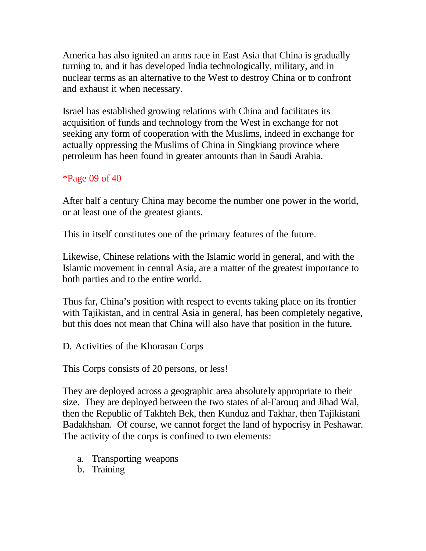America has also ignited an arms race in East Asia that China is gradually turning to, and it has developed India technologically, military, and in nuclear terms as an alternative to the West to destroy China or to confront and exhaust it when necessary.

Israel has established growing relations with China and facilitates its acquisition of funds and technology from the West in exchange for not seeking any form of cooperation with the Muslims, indeed in exchange for actually oppressing the Muslims of China in Singkiang province where petroleum has been found in greater amounts than in Saudi Arabia.

### \*Page 09 of 40

After half a century China may become the number one power in the world, or at least one of the greatest giants.

This in itself constitutes one of the primary features of the future.

Likewise, Chinese relations with the Islamic world in general, and with the Islamic movement in central Asia, are a matter of the greatest importance to both parties and to the entire world.

Thus far, China's position with respect to events taking place on its frontier with Tajikistan, and in central Asia in general, has been completely negative, but this does not mean that China will also have that position in the future.

D. Activities of the Khorasan Corps

This Corps consists of 20 persons, or less!

They are deployed across a geographic area absolutely appropriate to their size. They are deployed between the two states of al-Farouq and Jihad Wal, then the Republic of Takhteh Bek, then Kunduz and Takhar, then Tajikistani Badakhshan. Of course, we cannot forget the land of hypocrisy in Peshawar. The activity of the corps is confined to two elements:

- a. Transporting weapons
- b. Training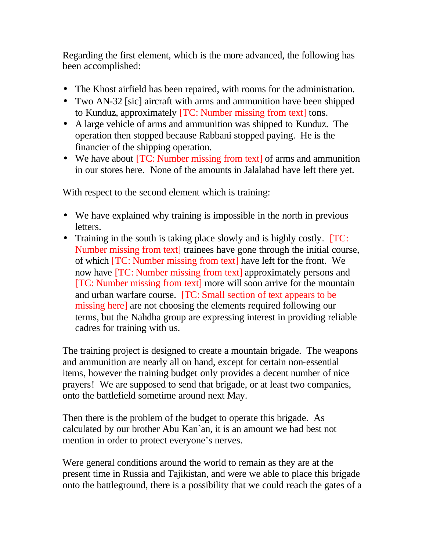Regarding the first element, which is the more advanced, the following has been accomplished:

- The Khost airfield has been repaired, with rooms for the administration.
- Two AN-32 [sic] aircraft with arms and ammunition have been shipped to Kunduz, approximately [TC: Number missing from text] tons.
- A large vehicle of arms and ammunition was shipped to Kunduz. The operation then stopped because Rabbani stopped paying. He is the financier of the shipping operation.
- We have about [TC: Number missing from text] of arms and ammunition in our stores here. None of the amounts in Jalalabad have left there yet.

With respect to the second element which is training:

- We have explained why training is impossible in the north in previous letters.
- Training in the south is taking place slowly and is highly costly. [TC: Number missing from text] trainees have gone through the initial course, of which [TC: Number missing from text] have left for the front. We now have [TC: Number missing from text] approximately persons and [TC: Number missing from text] more will soon arrive for the mountain and urban warfare course. [TC: Small section of text appears to be missing here] are not choosing the elements required following our terms, but the Nahdha group are expressing interest in providing reliable cadres for training with us.

The training project is designed to create a mountain brigade. The weapons and ammunition are nearly all on hand, except for certain non-essential items, however the training budget only provides a decent number of nice prayers! We are supposed to send that brigade, or at least two companies, onto the battlefield sometime around next May.

Then there is the problem of the budget to operate this brigade. As calculated by our brother Abu Kan`an, it is an amount we had best not mention in order to protect everyone's nerves.

Were general conditions around the world to remain as they are at the present time in Russia and Tajikistan, and were we able to place this brigade onto the battleground, there is a possibility that we could reach the gates of a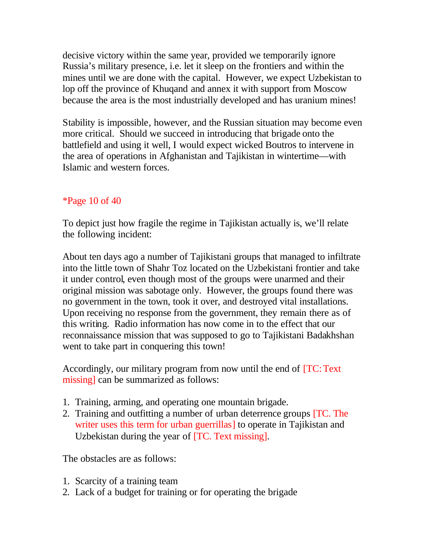decisive victory within the same year, provided we temporarily ignore Russia's military presence, i.e. let it sleep on the frontiers and within the mines until we are done with the capital. However, we expect Uzbekistan to lop off the province of Khuqand and annex it with support from Moscow because the area is the most industrially developed and has uranium mines!

Stability is impossible, however, and the Russian situation may become even more critical. Should we succeed in introducing that brigade onto the battlefield and using it well, I would expect wicked Boutros to intervene in the area of operations in Afghanistan and Tajikistan in wintertime—with Islamic and western forces.

### \*Page 10 of 40

To depict just how fragile the regime in Tajikistan actually is, we'll relate the following incident:

About ten days ago a number of Tajikistani groups that managed to infiltrate into the little town of Shahr Toz located on the Uzbekistani frontier and take it under control, even though most of the groups were unarmed and their original mission was sabotage only. However, the groups found there was no government in the town, took it over, and destroyed vital installations. Upon receiving no response from the government, they remain there as of this writing. Radio information has now come in to the effect that our reconnaissance mission that was supposed to go to Tajikistani Badakhshan went to take part in conquering this town!

Accordingly, our military program from now until the end of [TC: Text missing] can be summarized as follows:

- 1. Training, arming, and operating one mountain brigade.
- 2. Training and outfitting a number of urban deterrence groups [TC. The writer uses this term for urban guerrillas] to operate in Tajikistan and Uzbekistan during the year of [TC. Text missing].

The obstacles are as follows:

- 1. Scarcity of a training team
- 2. Lack of a budget for training or for operating the brigade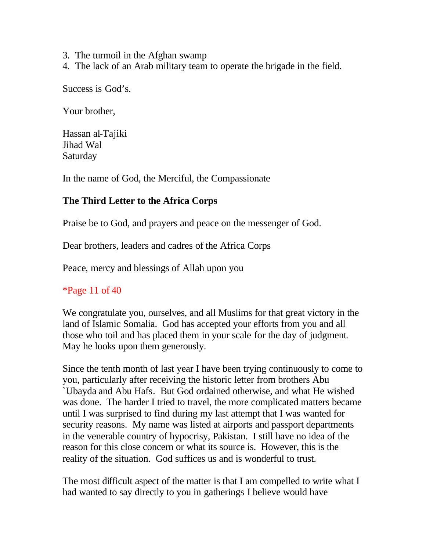- 3. The turmoil in the Afghan swamp
- 4. The lack of an Arab military team to operate the brigade in the field.

Success is God's.

Your brother,

Hassan al-Tajiki Jihad Wal Saturday

In the name of God, the Merciful, the Compassionate

## **The Third Letter to the Africa Corps**

Praise be to God, and prayers and peace on the messenger of God.

Dear brothers, leaders and cadres of the Africa Corps

Peace, mercy and blessings of Allah upon you

\*Page 11 of 40

We congratulate you, ourselves, and all Muslims for that great victory in the land of Islamic Somalia. God has accepted your efforts from you and all those who toil and has placed them in your scale for the day of judgment. May he looks upon them generously.

Since the tenth month of last year I have been trying continuously to come to you, particularly after receiving the historic letter from brothers Abu `Ubayda and Abu Hafs. But God ordained otherwise, and what He wished was done. The harder I tried to travel, the more complicated matters became until I was surprised to find during my last attempt that I was wanted for security reasons. My name was listed at airports and passport departments in the venerable country of hypocrisy, Pakistan. I still have no idea of the reason for this close concern or what its source is. However, this is the reality of the situation. God suffices us and is wonderful to trust.

The most difficult aspect of the matter is that I am compelled to write what I had wanted to say directly to you in gatherings I believe would have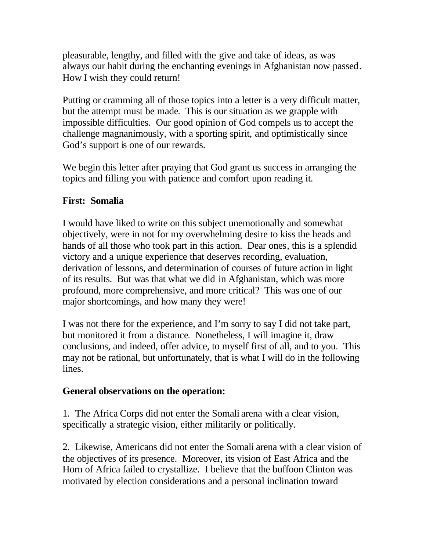pleasurable, lengthy, and filled with the give and take of ideas, as was always our habit during the enchanting evenings in Afghanistan now passed. How I wish they could return!

Putting or cramming all of those topics into a letter is a very difficult matter, but the attempt must be made. This is our situation as we grapple with impossible difficulties. Our good opinion of God compels us to accept the challenge magnanimously, with a sporting spirit, and optimistically since God's support is one of our rewards.

We begin this letter after praying that God grant us success in arranging the topics and filling you with patience and comfort upon reading it.

## **First: Somalia**

I would have liked to write on this subject unemotionally and somewhat objectively, were in not for my overwhelming desire to kiss the heads and hands of all those who took part in this action. Dear ones, this is a splendid victory and a unique experience that deserves recording, evaluation, derivation of lessons, and determination of courses of future action in light of its results. But was that what we did in Afghanistan, which was more profound, more comprehensive, and more critical? This was one of our major shortcomings, and how many they were!

I was not there for the experience, and I'm sorry to say I did not take part, but monitored it from a distance. Nonetheless, I will imagine it, draw conclusions, and indeed, offer advice, to myself first of all, and to you. This may not be rational, but unfortunately, that is what I will do in the following lines.

## **General observations on the operation:**

1. The Africa Corps did not enter the Somali arena with a clear vision, specifically a strategic vision, either militarily or politically.

2. Likewise, Americans did not enter the Somali arena with a clear vision of the objectives of its presence. Moreover, its vision of East Africa and the Horn of Africa failed to crystallize. I believe that the buffoon Clinton was motivated by election considerations and a personal inclination toward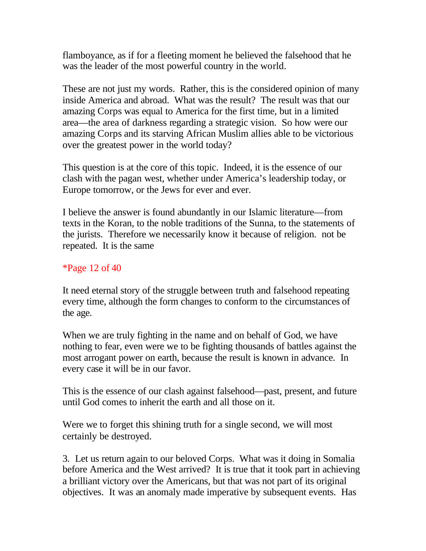flamboyance, as if for a fleeting moment he believed the falsehood that he was the leader of the most powerful country in the world.

These are not just my words. Rather, this is the considered opinion of many inside America and abroad. What was the result? The result was that our amazing Corps was equal to America for the first time, but in a limited area—the area of darkness regarding a strategic vision. So how were our amazing Corps and its starving African Muslim allies able to be victorious over the greatest power in the world today?

This question is at the core of this topic. Indeed, it is the essence of our clash with the pagan west, whether under America's leadership today, or Europe tomorrow, or the Jews for ever and ever.

I believe the answer is found abundantly in our Islamic literature—from texts in the Koran, to the noble traditions of the Sunna, to the statements of the jurists. Therefore we necessarily know it because of religion. not be repeated. It is the same

\*Page 12 of 40

It need eternal story of the struggle between truth and falsehood repeating every time, although the form changes to conform to the circumstances of the age.

When we are truly fighting in the name and on behalf of God, we have nothing to fear, even were we to be fighting thousands of battles against the most arrogant power on earth, because the result is known in advance. In every case it will be in our favor.

This is the essence of our clash against falsehood—past, present, and future until God comes to inherit the earth and all those on it.

Were we to forget this shining truth for a single second, we will most certainly be destroyed.

3. Let us return again to our beloved Corps. What was it doing in Somalia before America and the West arrived? It is true that it took part in achieving a brilliant victory over the Americans, but that was not part of its original objectives. It was an anomaly made imperative by subsequent events. Has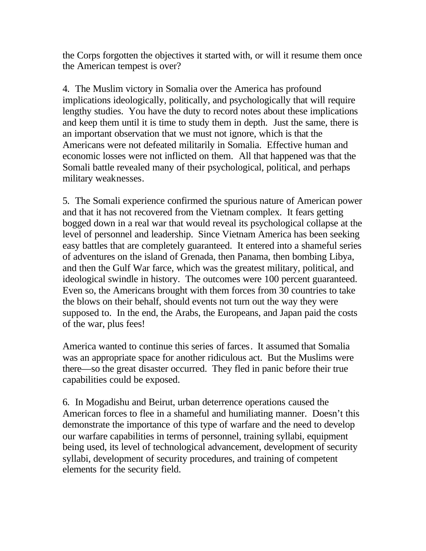the Corps forgotten the objectives it started with, or will it resume them once the American tempest is over?

4. The Muslim victory in Somalia over the America has profound implications ideologically, politically, and psychologically that will require lengthy studies. You have the duty to record notes about these implications and keep them until it is time to study them in depth. Just the same, there is an important observation that we must not ignore, which is that the Americans were not defeated militarily in Somalia. Effective human and economic losses were not inflicted on them. All that happened was that the Somali battle revealed many of their psychological, political, and perhaps military weaknesses.

5. The Somali experience confirmed the spurious nature of American power and that it has not recovered from the Vietnam complex. It fears getting bogged down in a real war that would reveal its psychological collapse at the level of personnel and leadership. Since Vietnam America has been seeking easy battles that are completely guaranteed. It entered into a shameful series of adventures on the island of Grenada, then Panama, then bombing Libya, and then the Gulf War farce, which was the greatest military, political, and ideological swindle in history. The outcomes were 100 percent guaranteed. Even so, the Americans brought with them forces from 30 countries to take the blows on their behalf, should events not turn out the way they were supposed to. In the end, the Arabs, the Europeans, and Japan paid the costs of the war, plus fees!

America wanted to continue this series of farces. It assumed that Somalia was an appropriate space for another ridiculous act. But the Muslims were there—so the great disaster occurred. They fled in panic before their true capabilities could be exposed.

6. In Mogadishu and Beirut, urban deterrence operations caused the American forces to flee in a shameful and humiliating manner. Doesn't this demonstrate the importance of this type of warfare and the need to develop our warfare capabilities in terms of personnel, training syllabi, equipment being used, its level of technological advancement, development of security syllabi, development of security procedures, and training of competent elements for the security field.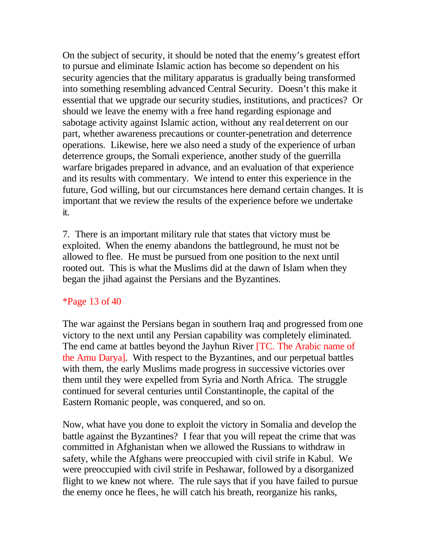On the subject of security, it should be noted that the enemy's greatest effort to pursue and eliminate Islamic action has become so dependent on his security agencies that the military apparatus is gradually being transformed into something resembling advanced Central Security. Doesn't this make it essential that we upgrade our security studies, institutions, and practices? Or should we leave the enemy with a free hand regarding espionage and sabotage activity against Islamic action, without any real deterrent on our part, whether awareness precautions or counter-penetration and deterrence operations. Likewise, here we also need a study of the experience of urban deterrence groups, the Somali experience, another study of the guerrilla warfare brigades prepared in advance, and an evaluation of that experience and its results with commentary. We intend to enter this experience in the future, God willing, but our circumstances here demand certain changes. It is important that we review the results of the experience before we undertake it.

7. There is an important military rule that states that victory must be exploited. When the enemy abandons the battleground, he must not be allowed to flee. He must be pursued from one position to the next until rooted out. This is what the Muslims did at the dawn of Islam when they began the jihad against the Persians and the Byzantines.

## \*Page 13 of 40

The war against the Persians began in southern Iraq and progressed from one victory to the next until any Persian capability was completely eliminated. The end came at battles beyond the Jayhun River [TC. The Arabic name of the Amu Darya]. With respect to the Byzantines, and our perpetual battles with them, the early Muslims made progress in successive victories over them until they were expelled from Syria and North Africa. The struggle continued for several centuries until Constantinople, the capital of the Eastern Romanic people, was conquered, and so on.

Now, what have you done to exploit the victory in Somalia and develop the battle against the Byzantines? I fear that you will repeat the crime that was committed in Afghanistan when we allowed the Russians to withdraw in safety, while the Afghans were preoccupied with civil strife in Kabul. We were preoccupied with civil strife in Peshawar, followed by a disorganized flight to we knew not where. The rule says that if you have failed to pursue the enemy once he flees, he will catch his breath, reorganize his ranks,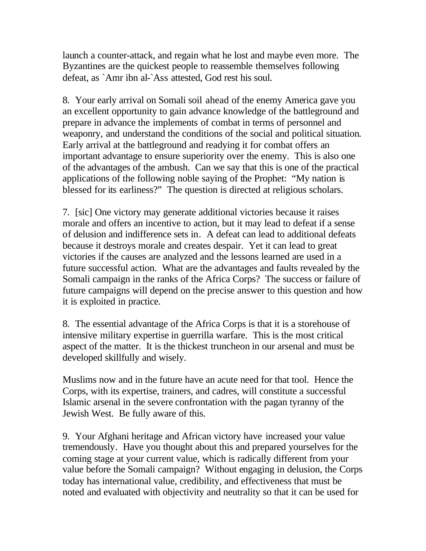launch a counter-attack, and regain what he lost and maybe even more. The Byzantines are the quickest people to reassemble themselves following defeat, as `Amr ibn al-`Ass attested, God rest his soul.

8. Your early arrival on Somali soil ahead of the enemy America gave you an excellent opportunity to gain advance knowledge of the battleground and prepare in advance the implements of combat in terms of personnel and weaponry, and understand the conditions of the social and political situation. Early arrival at the battleground and readying it for combat offers an important advantage to ensure superiority over the enemy. This is also one of the advantages of the ambush. Can we say that this is one of the practical applications of the following noble saying of the Prophet: "My nation is blessed for its earliness?" The question is directed at religious scholars.

7. [sic] One victory may generate additional victories because it raises morale and offers an incentive to action, but it may lead to defeat if a sense of delusion and indifference sets in. A defeat can lead to additional defeats because it destroys morale and creates despair. Yet it can lead to great victories if the causes are analyzed and the lessons learned are used in a future successful action. What are the advantages and faults revealed by the Somali campaign in the ranks of the Africa Corps? The success or failure of future campaigns will depend on the precise answer to this question and how it is exploited in practice.

8. The essential advantage of the Africa Corps is that it is a storehouse of intensive military expertise in guerrilla warfare. This is the most critical aspect of the matter. It is the thickest truncheon in our arsenal and must be developed skillfully and wisely.

Muslims now and in the future have an acute need for that tool. Hence the Corps, with its expertise, trainers, and cadres, will constitute a successful Islamic arsenal in the severe confrontation with the pagan tyranny of the Jewish West. Be fully aware of this.

9. Your Afghani heritage and African victory have increased your value tremendously. Have you thought about this and prepared yourselves for the coming stage at your current value, which is radically different from your value before the Somali campaign? Without engaging in delusion, the Corps today has international value, credibility, and effectiveness that must be noted and evaluated with objectivity and neutrality so that it can be used for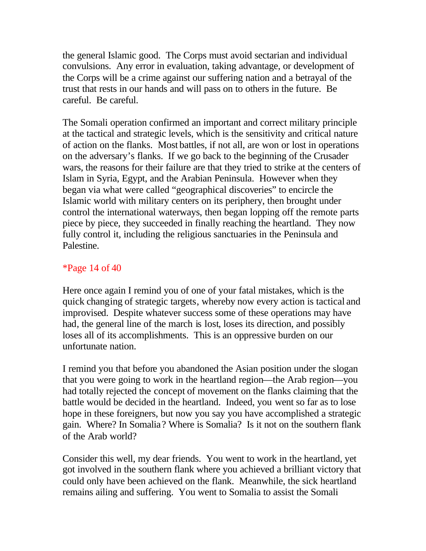the general Islamic good. The Corps must avoid sectarian and individual convulsions. Any error in evaluation, taking advantage, or development of the Corps will be a crime against our suffering nation and a betrayal of the trust that rests in our hands and will pass on to others in the future. Be careful. Be careful.

The Somali operation confirmed an important and correct military principle at the tactical and strategic levels, which is the sensitivity and critical nature of action on the flanks. Most battles, if not all, are won or lost in operations on the adversary's flanks. If we go back to the beginning of the Crusader wars, the reasons for their failure are that they tried to strike at the centers of Islam in Syria, Egypt, and the Arabian Peninsula. However when they began via what were called "geographical discoveries" to encircle the Islamic world with military centers on its periphery, then brought under control the international waterways, then began lopping off the remote parts piece by piece, they succeeded in finally reaching the heartland. They now fully control it, including the religious sanctuaries in the Peninsula and Palestine.

### \*Page 14 of 40

Here once again I remind you of one of your fatal mistakes, which is the quick changing of strategic targets, whereby now every action is tactical and improvised. Despite whatever success some of these operations may have had, the general line of the march is lost, loses its direction, and possibly loses all of its accomplishments. This is an oppressive burden on our unfortunate nation.

I remind you that before you abandoned the Asian position under the slogan that you were going to work in the heartland region—the Arab region—you had totally rejected the concept of movement on the flanks claiming that the battle would be decided in the heartland. Indeed, you went so far as to lose hope in these foreigners, but now you say you have accomplished a strategic gain. Where? In Somalia? Where is Somalia? Is it not on the southern flank of the Arab world?

Consider this well, my dear friends. You went to work in the heartland, yet got involved in the southern flank where you achieved a brilliant victory that could only have been achieved on the flank. Meanwhile, the sick heartland remains ailing and suffering. You went to Somalia to assist the Somali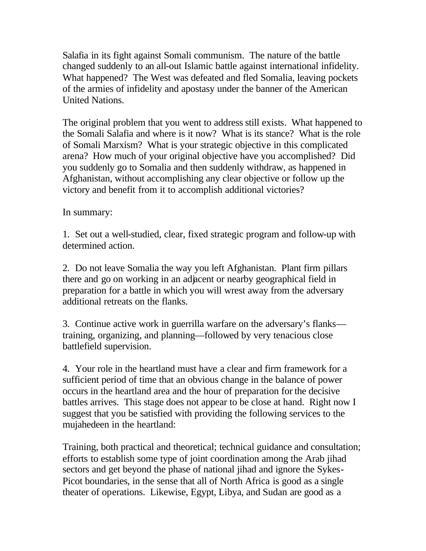Salafia in its fight against Somali communism. The nature of the battle changed suddenly to an all-out Islamic battle against international infidelity. What happened? The West was defeated and fled Somalia, leaving pockets of the armies of infidelity and apostasy under the banner of the American United Nations.

The original problem that you went to address still exists. What happened to the Somali Salafia and where is it now? What is its stance? What is the role of Somali Marxism? What is your strategic objective in this complicated arena? How much of your original objective have you accomplished? Did you suddenly go to Somalia and then suddenly withdraw, as happened in Afghanistan, without accomplishing any clear objective or follow up the victory and benefit from it to accomplish additional victories?

In summary:

1. Set out a well-studied, clear, fixed strategic program and follow-up with determined action.

2. Do not leave Somalia the way you left Afghanistan. Plant firm pillars there and go on working in an adjacent or nearby geographical field in preparation for a battle in which you will wrest away from the adversary additional retreats on the flanks.

3. Continue active work in guerrilla warfare on the adversary's flanks training, organizing, and planning—followed by very tenacious close battlefield supervision.

4. Your role in the heartland must have a clear and firm framework for a sufficient period of time that an obvious change in the balance of power occurs in the heartland area and the hour of preparation for the decisive battles arrives. This stage does not appear to be close at hand. Right now I suggest that you be satisfied with providing the following services to the mujahedeen in the heartland:

Training, both practical and theoretical; technical guidance and consultation; efforts to establish some type of joint coordination among the Arab jihad sectors and get beyond the phase of national jihad and ignore the Sykes-Picot boundaries, in the sense that all of North Africa is good as a single theater of operations. Likewise, Egypt, Libya, and Sudan are good as a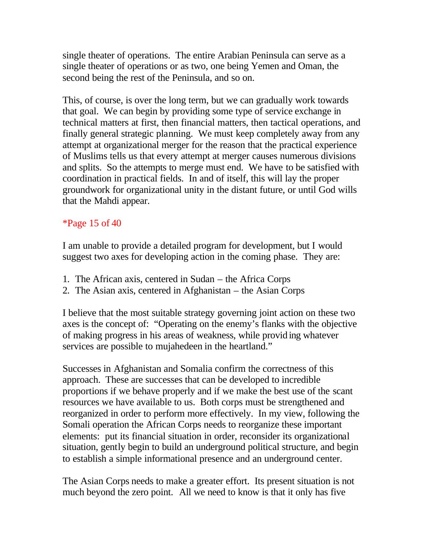single theater of operations. The entire Arabian Peninsula can serve as a single theater of operations or as two, one being Yemen and Oman, the second being the rest of the Peninsula, and so on.

This, of course, is over the long term, but we can gradually work towards that goal. We can begin by providing some type of service exchange in technical matters at first, then financial matters, then tactical operations, and finally general strategic planning. We must keep completely away from any attempt at organizational merger for the reason that the practical experience of Muslims tells us that every attempt at merger causes numerous divisions and splits. So the attempts to merge must end. We have to be satisfied with coordination in practical fields. In and of itself, this will lay the proper groundwork for organizational unity in the distant future, or until God wills that the Mahdi appear.

## \*Page 15 of 40

I am unable to provide a detailed program for development, but I would suggest two axes for developing action in the coming phase. They are:

- 1. The African axis, centered in Sudan the Africa Corps
- 2. The Asian axis, centered in Afghanistan the Asian Corps

I believe that the most suitable strategy governing joint action on these two axes is the concept of: "Operating on the enemy's flanks with the objective of making progress in his areas of weakness, while provid ing whatever services are possible to mujahedeen in the heartland."

Successes in Afghanistan and Somalia confirm the correctness of this approach. These are successes that can be developed to incredible proportions if we behave properly and if we make the best use of the scant resources we have available to us. Both corps must be strengthened and reorganized in order to perform more effectively. In my view, following the Somali operation the African Corps needs to reorganize these important elements: put its financial situation in order, reconsider its organizational situation, gently begin to build an underground political structure, and begin to establish a simple informational presence and an underground center.

The Asian Corps needs to make a greater effort. Its present situation is not much beyond the zero point. All we need to know is that it only has five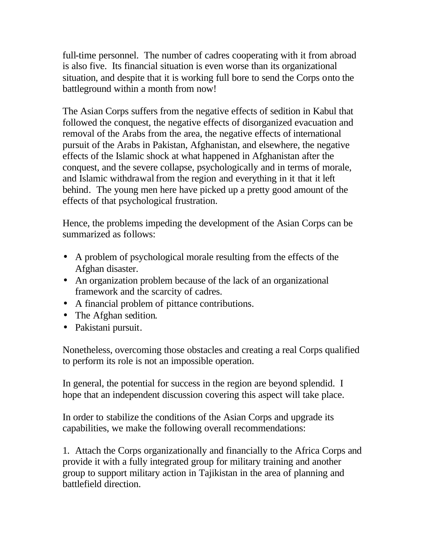full-time personnel. The number of cadres cooperating with it from abroad is also five. Its financial situation is even worse than its organizational situation, and despite that it is working full bore to send the Corps onto the battleground within a month from now!

The Asian Corps suffers from the negative effects of sedition in Kabul that followed the conquest, the negative effects of disorganized evacuation and removal of the Arabs from the area, the negative effects of international pursuit of the Arabs in Pakistan, Afghanistan, and elsewhere, the negative effects of the Islamic shock at what happened in Afghanistan after the conquest, and the severe collapse, psychologically and in terms of morale, and Islamic withdrawal from the region and everything in it that it left behind. The young men here have picked up a pretty good amount of the effects of that psychological frustration.

Hence, the problems impeding the development of the Asian Corps can be summarized as follows:

- A problem of psychological morale resulting from the effects of the Afghan disaster.
- An organization problem because of the lack of an organizational framework and the scarcity of cadres.
- A financial problem of pittance contributions.
- The Afghan sedition.
- Pakistani pursuit.

Nonetheless, overcoming those obstacles and creating a real Corps qualified to perform its role is not an impossible operation.

In general, the potential for success in the region are beyond splendid. I hope that an independent discussion covering this aspect will take place.

In order to stabilize the conditions of the Asian Corps and upgrade its capabilities, we make the following overall recommendations:

1. Attach the Corps organizationally and financially to the Africa Corps and provide it with a fully integrated group for military training and another group to support military action in Tajikistan in the area of planning and battlefield direction.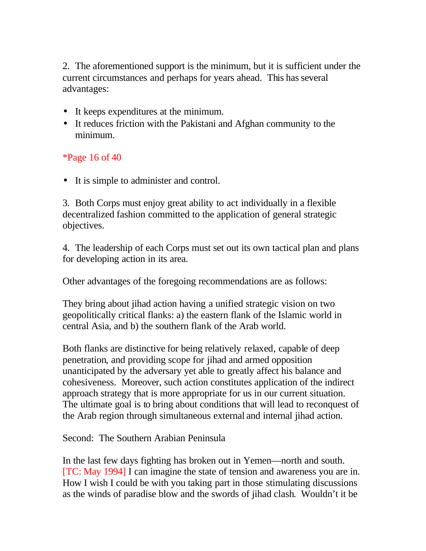2. The aforementioned support is the minimum, but it is sufficient under the current circumstances and perhaps for years ahead. This has several advantages:

- It keeps expenditures at the minimum.
- It reduces friction with the Pakistani and Afghan community to the minimum.

### \*Page 16 of 40

• It is simple to administer and control.

3. Both Corps must enjoy great ability to act individually in a flexible decentralized fashion committed to the application of general strategic objectives.

4. The leadership of each Corps must set out its own tactical plan and plans for developing action in its area.

Other advantages of the foregoing recommendations are as follows:

They bring about jihad action having a unified strategic vision on two geopolitically critical flanks: a) the eastern flank of the Islamic world in central Asia, and b) the southern flank of the Arab world.

Both flanks are distinctive for being relatively relaxed, capable of deep penetration, and providing scope for jihad and armed opposition unanticipated by the adversary yet able to greatly affect his balance and cohesiveness. Moreover, such action constitutes application of the indirect approach strategy that is more appropriate for us in our current situation. The ultimate goal is to bring about conditions that will lead to reconquest of the Arab region through simultaneous external and internal jihad action.

Second: The Southern Arabian Peninsula

In the last few days fighting has broken out in Yemen—north and south. [TC: May 1994] I can imagine the state of tension and awareness you are in. How I wish I could be with you taking part in those stimulating discussions as the winds of paradise blow and the swords of jihad clash. Wouldn't it be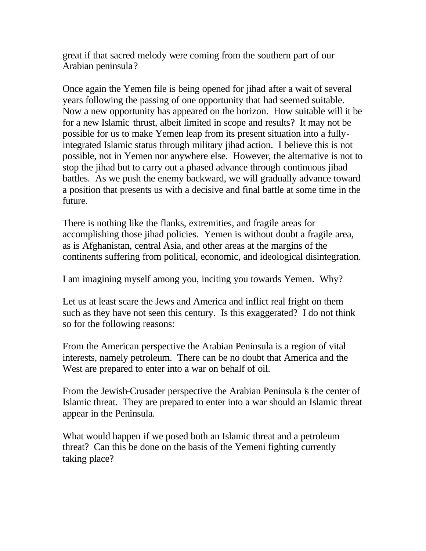great if that sacred melody were coming from the southern part of our Arabian peninsula?

Once again the Yemen file is being opened for jihad after a wait of several years following the passing of one opportunity that had seemed suitable. Now a new opportunity has appeared on the horizon. How suitable will it be for a new Islamic thrust, albeit limited in scope and results? It may not be possible for us to make Yemen leap from its present situation into a fullyintegrated Islamic status through military jihad action. I believe this is not possible, not in Yemen nor anywhere else. However, the alternative is not to stop the jihad but to carry out a phased advance through continuous jihad battles. As we push the enemy backward, we will gradually advance toward a position that presents us with a decisive and final battle at some time in the future.

There is nothing like the flanks, extremities, and fragile areas for accomplishing those jihad policies. Yemen is without doubt a fragile area, as is Afghanistan, central Asia, and other areas at the margins of the continents suffering from political, economic, and ideological disintegration.

I am imagining myself among you, inciting you towards Yemen. Why?

Let us at least scare the Jews and America and inflict real fright on them such as they have not seen this century. Is this exaggerated? I do not think so for the following reasons:

From the American perspective the Arabian Peninsula is a region of vital interests, namely petroleum. There can be no doubt that America and the West are prepared to enter into a war on behalf of oil.

From the Jewish-Crusader perspective the Arabian Peninsula is the center of Islamic threat. They are prepared to enter into a war should an Islamic threat appear in the Peninsula.

What would happen if we posed both an Islamic threat and a petroleum threat? Can this be done on the basis of the Yemeni fighting currently taking place?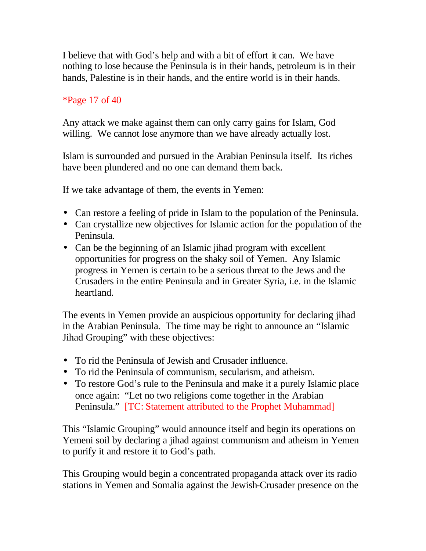I believe that with God's help and with a bit of effort it can. We have nothing to lose because the Peninsula is in their hands, petroleum is in their hands, Palestine is in their hands, and the entire world is in their hands.

## \*Page 17 of 40

Any attack we make against them can only carry gains for Islam, God willing. We cannot lose anymore than we have already actually lost.

Islam is surrounded and pursued in the Arabian Peninsula itself. Its riches have been plundered and no one can demand them back.

If we take advantage of them, the events in Yemen:

- Can restore a feeling of pride in Islam to the population of the Peninsula.
- Can crystallize new objectives for Islamic action for the population of the Peninsula.
- Can be the beginning of an Islamic jihad program with excellent opportunities for progress on the shaky soil of Yemen. Any Islamic progress in Yemen is certain to be a serious threat to the Jews and the Crusaders in the entire Peninsula and in Greater Syria, i.e. in the Islamic heartland.

The events in Yemen provide an auspicious opportunity for declaring jihad in the Arabian Peninsula. The time may be right to announce an "Islamic Jihad Grouping" with these objectives:

- To rid the Peninsula of Jewish and Crusader influence.
- To rid the Peninsula of communism, secularism, and atheism.
- To restore God's rule to the Peninsula and make it a purely Islamic place once again: "Let no two religions come together in the Arabian Peninsula." [TC: Statement attributed to the Prophet Muhammad]

This "Islamic Grouping" would announce itself and begin its operations on Yemeni soil by declaring a jihad against communism and atheism in Yemen to purify it and restore it to God's path.

This Grouping would begin a concentrated propaganda attack over its radio stations in Yemen and Somalia against the Jewish-Crusader presence on the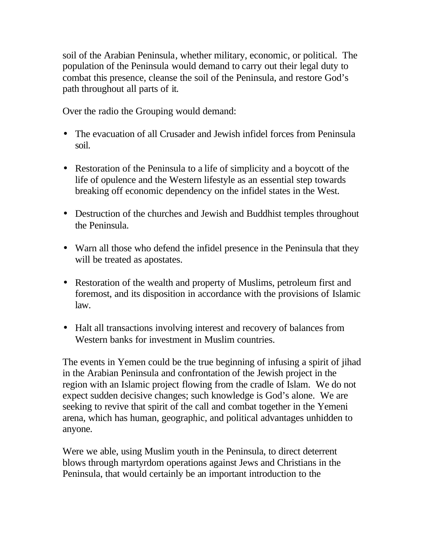soil of the Arabian Peninsula, whether military, economic, or political. The population of the Peninsula would demand to carry out their legal duty to combat this presence, cleanse the soil of the Peninsula, and restore God's path throughout all parts of it.

Over the radio the Grouping would demand:

- The evacuation of all Crusader and Jewish infidel forces from Peninsula soil.
- Restoration of the Peninsula to a life of simplicity and a boycott of the life of opulence and the Western lifestyle as an essential step towards breaking off economic dependency on the infidel states in the West.
- Destruction of the churches and Jewish and Buddhist temples throughout the Peninsula.
- Warn all those who defend the infidel presence in the Peninsula that they will be treated as apostates.
- Restoration of the wealth and property of Muslims, petroleum first and foremost, and its disposition in accordance with the provisions of Islamic law.
- Halt all transactions involving interest and recovery of balances from Western banks for investment in Muslim countries.

The events in Yemen could be the true beginning of infusing a spirit of jihad in the Arabian Peninsula and confrontation of the Jewish project in the region with an Islamic project flowing from the cradle of Islam. We do not expect sudden decisive changes; such knowledge is God's alone. We are seeking to revive that spirit of the call and combat together in the Yemeni arena, which has human, geographic, and political advantages unhidden to anyone.

Were we able, using Muslim youth in the Peninsula, to direct deterrent blows through martyrdom operations against Jews and Christians in the Peninsula, that would certainly be an important introduction to the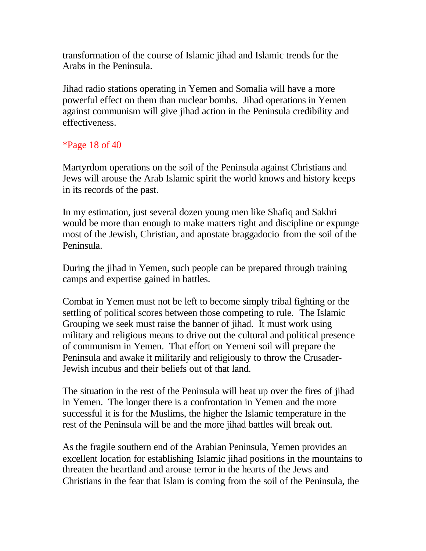transformation of the course of Islamic jihad and Islamic trends for the Arabs in the Peninsula.

Jihad radio stations operating in Yemen and Somalia will have a more powerful effect on them than nuclear bombs. Jihad operations in Yemen against communism will give jihad action in the Peninsula credibility and effectiveness.

# \*Page 18 of 40

Martyrdom operations on the soil of the Peninsula against Christians and Jews will arouse the Arab Islamic spirit the world knows and history keeps in its records of the past.

In my estimation, just several dozen young men like Shafiq and Sakhri would be more than enough to make matters right and discipline or expunge most of the Jewish, Christian, and apostate braggadocio from the soil of the Peninsula.

During the jihad in Yemen, such people can be prepared through training camps and expertise gained in battles.

Combat in Yemen must not be left to become simply tribal fighting or the settling of political scores between those competing to rule. The Islamic Grouping we seek must raise the banner of jihad. It must work using military and religious means to drive out the cultural and political presence of communism in Yemen. That effort on Yemeni soil will prepare the Peninsula and awake it militarily and religiously to throw the Crusader-Jewish incubus and their beliefs out of that land.

The situation in the rest of the Peninsula will heat up over the fires of jihad in Yemen. The longer there is a confrontation in Yemen and the more successful it is for the Muslims, the higher the Islamic temperature in the rest of the Peninsula will be and the more jihad battles will break out.

As the fragile southern end of the Arabian Peninsula, Yemen provides an excellent location for establishing Islamic jihad positions in the mountains to threaten the heartland and arouse terror in the hearts of the Jews and Christians in the fear that Islam is coming from the soil of the Peninsula, the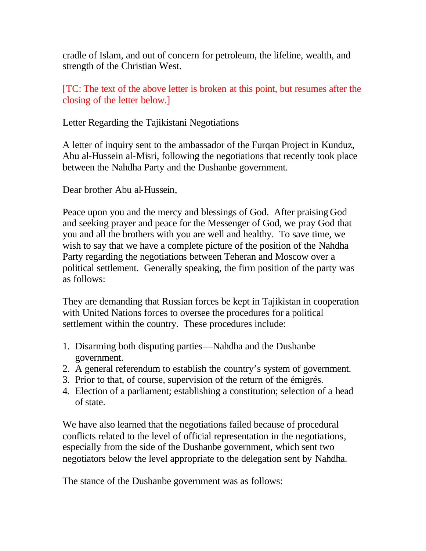cradle of Islam, and out of concern for petroleum, the lifeline, wealth, and strength of the Christian West.

[TC: The text of the above letter is broken at this point, but resumes after the closing of the letter below.]

Letter Regarding the Tajikistani Negotiations

A letter of inquiry sent to the ambassador of the Furqan Project in Kunduz, Abu al-Hussein al-Misri, following the negotiations that recently took place between the Nahdha Party and the Dushanbe government.

Dear brother Abu al-Hussein,

Peace upon you and the mercy and blessings of God. After praising God and seeking prayer and peace for the Messenger of God, we pray God that you and all the brothers with you are well and healthy. To save time, we wish to say that we have a complete picture of the position of the Nahdha Party regarding the negotiations between Teheran and Moscow over a political settlement. Generally speaking, the firm position of the party was as follows:

They are demanding that Russian forces be kept in Tajikistan in cooperation with United Nations forces to oversee the procedures for a political settlement within the country. These procedures include:

- 1. Disarming both disputing parties—Nahdha and the Dushanbe government.
- 2. A general referendum to establish the country's system of government.
- 3. Prior to that, of course, supervision of the return of the émigrés.
- 4. Election of a parliament; establishing a constitution; selection of a head of state.

We have also learned that the negotiations failed because of procedural conflicts related to the level of official representation in the negotiations, especially from the side of the Dushanbe government, which sent two negotiators below the level appropriate to the delegation sent by Nahdha.

The stance of the Dushanbe government was as follows: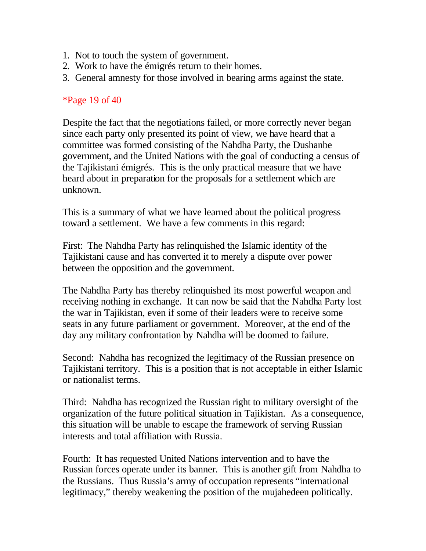- 1. Not to touch the system of government.
- 2. Work to have the émigrés return to their homes.
- 3. General amnesty for those involved in bearing arms against the state.

#### \*Page 19 of 40

Despite the fact that the negotiations failed, or more correctly never began since each party only presented its point of view, we have heard that a committee was formed consisting of the Nahdha Party, the Dushanbe government, and the United Nations with the goal of conducting a census of the Tajikistani émigrés. This is the only practical measure that we have heard about in preparation for the proposals for a settlement which are unknown.

This is a summary of what we have learned about the political progress toward a settlement. We have a few comments in this regard:

First: The Nahdha Party has relinquished the Islamic identity of the Tajikistani cause and has converted it to merely a dispute over power between the opposition and the government.

The Nahdha Party has thereby relinquished its most powerful weapon and receiving nothing in exchange. It can now be said that the Nahdha Party lost the war in Tajikistan, even if some of their leaders were to receive some seats in any future parliament or government. Moreover, at the end of the day any military confrontation by Nahdha will be doomed to failure.

Second: Nahdha has recognized the legitimacy of the Russian presence on Tajikistani territory. This is a position that is not acceptable in either Islamic or nationalist terms.

Third: Nahdha has recognized the Russian right to military oversight of the organization of the future political situation in Tajikistan. As a consequence, this situation will be unable to escape the framework of serving Russian interests and total affiliation with Russia.

Fourth: It has requested United Nations intervention and to have the Russian forces operate under its banner. This is another gift from Nahdha to the Russians. Thus Russia's army of occupation represents "international legitimacy," thereby weakening the position of the mujahedeen politically.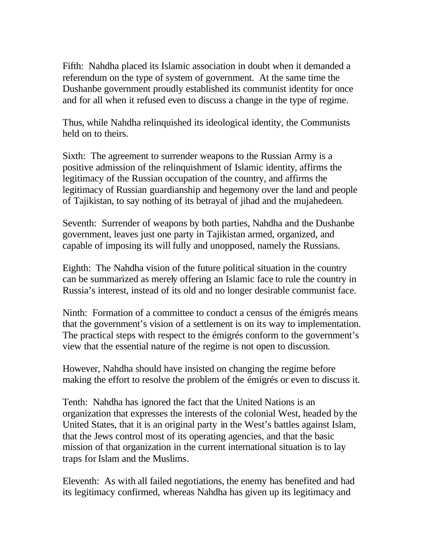Fifth: Nahdha placed its Islamic association in doubt when it demanded a referendum on the type of system of government. At the same time the Dushanbe government proudly established its communist identity for once and for all when it refused even to discuss a change in the type of regime.

Thus, while Nahdha relinquished its ideological identity, the Communists held on to theirs.

Sixth: The agreement to surrender weapons to the Russian Army is a positive admission of the relinquishment of Islamic identity, affirms the legitimacy of the Russian occupation of the country, and affirms the legitimacy of Russian guardianship and hegemony over the land and people of Tajikistan, to say nothing of its betrayal of jihad and the mujahedeen.

Seventh: Surrender of weapons by both parties, Nahdha and the Dushanbe government, leaves just one party in Tajikistan armed, organized, and capable of imposing its will fully and unopposed, namely the Russians.

Eighth: The Nahdha vision of the future political situation in the country can be summarized as merely offering an Islamic face to rule the country in Russia's interest, instead of its old and no longer desirable communist face.

Ninth: Formation of a committee to conduct a census of the émigrés means that the government's vision of a settlement is on its way to implementation. The practical steps with respect to the émigrés conform to the government's view that the essential nature of the regime is not open to discussion.

However, Nahdha should have insisted on changing the regime before making the effort to resolve the problem of the émigrés or even to discuss it.

Tenth: Nahdha has ignored the fact that the United Nations is an organization that expresses the interests of the colonial West, headed by the United States, that it is an original party in the West's battles against Islam, that the Jews control most of its operating agencies, and that the basic mission of that organization in the current international situation is to lay traps for Islam and the Muslims.

Eleventh: As with all failed negotiations, the enemy has benefited and had its legitimacy confirmed, whereas Nahdha has given up its legitimacy and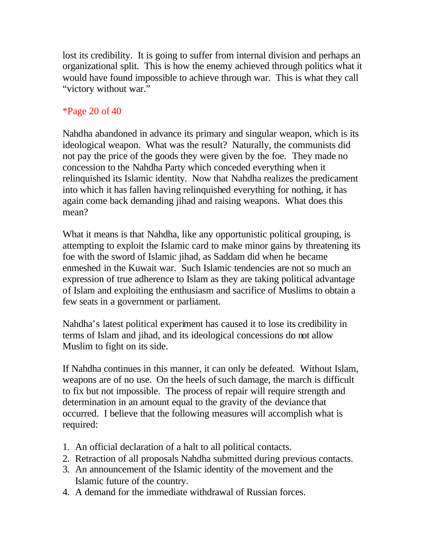lost its credibility. It is going to suffer from internal division and perhaps an organizational split. This is how the enemy achieved through politics what it would have found impossible to achieve through war. This is what they call "victory without war."

# \*Page 20 of 40

Nahdha abandoned in advance its primary and singular weapon, which is its ideological weapon. What was the result? Naturally, the communists did not pay the price of the goods they were given by the foe. They made no concession to the Nahdha Party which conceded everything when it relinquished its Islamic identity. Now that Nahdha realizes the predicament into which it has fallen having relinquished everything for nothing, it has again come back demanding jihad and raising weapons. What does this mean?

What it means is that Nahdha, like any opportunistic political grouping, is attempting to exploit the Islamic card to make minor gains by threatening its foe with the sword of Islamic jihad, as Saddam did when he became enmeshed in the Kuwait war. Such Islamic tendencies are not so much an expression of true adherence to Islam as they are taking political advantage of Islam and exploiting the enthusiasm and sacrifice of Muslims to obtain a few seats in a government or parliament.

Nahdha's latest political experiment has caused it to lose its credibility in terms of Islam and jihad, and its ideological concessions do not allow Muslim to fight on its side.

If Nahdha continues in this manner, it can only be defeated. Without Islam, weapons are of no use. On the heels of such damage, the march is difficult to fix but not impossible. The process of repair will require strength and determination in an amount equal to the gravity of the deviance that occurred. I believe that the following measures will accomplish what is required:

- 1. An official declaration of a halt to all political contacts.
- 2. Retraction of all proposals Nahdha submitted during previous contacts.
- 3. An announcement of the Islamic identity of the movement and the Islamic future of the country.
- 4. A demand for the immediate withdrawal of Russian forces.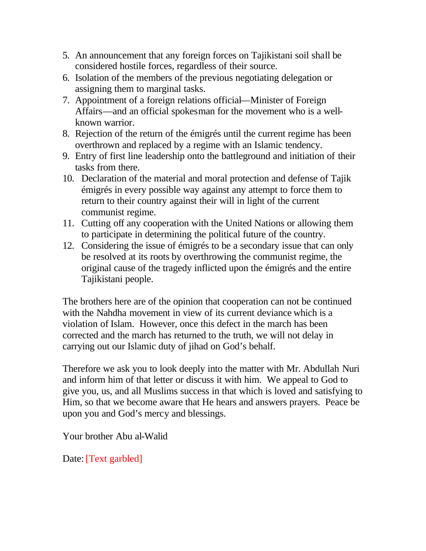- 5. An announcement that any foreign forces on Tajikistani soil shall be considered hostile forces, regardless of their source.
- 6. Isolation of the members of the previous negotiating delegation or assigning them to marginal tasks.
- 7. Appointment of a foreign relations official—Minister of Foreign Affairs—and an official spokesman for the movement who is a wellknown warrior.
- 8. Rejection of the return of the émigrés until the current regime has been overthrown and replaced by a regime with an Islamic tendency.
- 9. Entry of first line leadership onto the battleground and initiation of their tasks from there.
- 10. Declaration of the material and moral protection and defense of Tajik émigrés in every possible way against any attempt to force them to return to their country against their will in light of the current communist regime.
- 11. Cutting off any cooperation with the United Nations or allowing them to participate in determining the political future of the country.
- 12. Considering the issue of émigrés to be a secondary issue that can only be resolved at its roots by overthrowing the communist regime, the original cause of the tragedy inflicted upon the émigrés and the entire Tajikistani people.

The brothers here are of the opinion that cooperation can not be continued with the Nahdha movement in view of its current deviance which is a violation of Islam. However, once this defect in the march has been corrected and the march has returned to the truth, we will not delay in carrying out our Islamic duty of jihad on God's behalf.

Therefore we ask you to look deeply into the matter with Mr. Abdullah Nuri and inform him of that letter or discuss it with him. We appeal to God to give you, us, and all Muslims success in that which is loved and satisfying to Him, so that we become aware that He hears and answers prayers. Peace be upon you and God's mercy and blessings.

Your brother Abu al-Walid

Date: [Text garbled]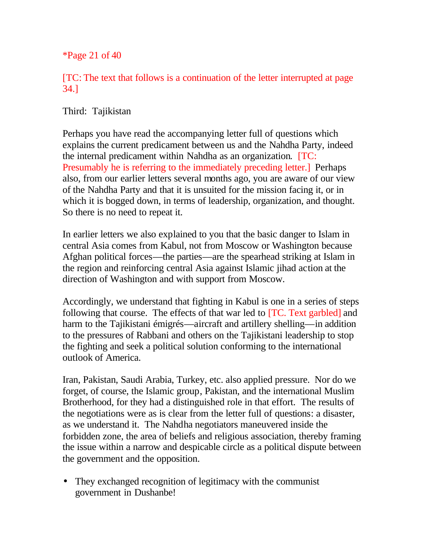\*Page 21 of 40

[TC: The text that follows is a continuation of the letter interrupted at page 34.]

Third: Tajikistan

Perhaps you have read the accompanying letter full of questions which explains the current predicament between us and the Nahdha Party, indeed the internal predicament within Nahdha as an organization. [TC: Presumably he is referring to the immediately preceding letter.] Perhaps also, from our earlier letters several months ago, you are aware of our view of the Nahdha Party and that it is unsuited for the mission facing it, or in which it is bogged down, in terms of leadership, organization, and thought. So there is no need to repeat it.

In earlier letters we also explained to you that the basic danger to Islam in central Asia comes from Kabul, not from Moscow or Washington because Afghan political forces—the parties—are the spearhead striking at Islam in the region and reinforcing central Asia against Islamic jihad action at the direction of Washington and with support from Moscow.

Accordingly, we understand that fighting in Kabul is one in a series of steps following that course. The effects of that war led to [TC. Text garbled] and harm to the Tajikistani émigrés—aircraft and artillery shelling—in addition to the pressures of Rabbani and others on the Tajikistani leadership to stop the fighting and seek a political solution conforming to the international outlook of America.

Iran, Pakistan, Saudi Arabia, Turkey, etc. also applied pressure. Nor do we forget, of course, the Islamic group, Pakistan, and the international Muslim Brotherhood, for they had a distinguished role in that effort. The results of the negotiations were as is clear from the letter full of questions: a disaster, as we understand it. The Nahdha negotiators maneuvered inside the forbidden zone, the area of beliefs and religious association, thereby framing the issue within a narrow and despicable circle as a political dispute between the government and the opposition.

• They exchanged recognition of legitimacy with the communist government in Dushanbe!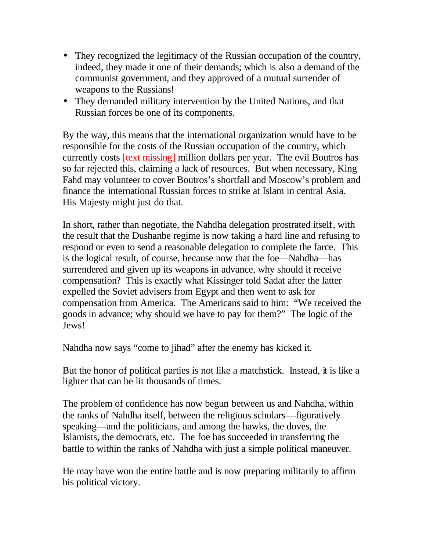- They recognized the legitimacy of the Russian occupation of the country, indeed, they made it one of their demands; which is also a demand of the communist government, and they approved of a mutual surrender of weapons to the Russians!
- They demanded military intervention by the United Nations, and that Russian forces be one of its components.

By the way, this means that the international organization would have to be responsible for the costs of the Russian occupation of the country, which currently costs [text missing] million dollars per year. The evil Boutros has so far rejected this, claiming a lack of resources. But when necessary, King Fahd may volunteer to cover Boutros's shortfall and Moscow's problem and finance the international Russian forces to strike at Islam in central Asia. His Majesty might just do that.

In short, rather than negotiate, the Nahdha delegation prostrated itself, with the result that the Dushanbe regime is now taking a hard line and refusing to respond or even to send a reasonable delegation to complete the farce. This is the logical result, of course, because now that the foe—Nahdha—has surrendered and given up its weapons in advance, why should it receive compensation? This is exactly what Kissinger told Sadat after the latter expelled the Soviet advisers from Egypt and then went to ask for compensation from America. The Americans said to him: "We received the goods in advance; why should we have to pay for them?" The logic of the Jews!

Nahdha now says "come to jihad" after the enemy has kicked it.

But the honor of political parties is not like a matchstick. Instead, it is like a lighter that can be lit thousands of times.

The problem of confidence has now begun between us and Nahdha, within the ranks of Nahdha itself, between the religious scholars—figuratively speaking—and the politicians, and among the hawks, the doves, the Islamists, the democrats, etc. The foe has succeeded in transferring the battle to within the ranks of Nahdha with just a simple political maneuver.

He may have won the entire battle and is now preparing militarily to affirm his political victory.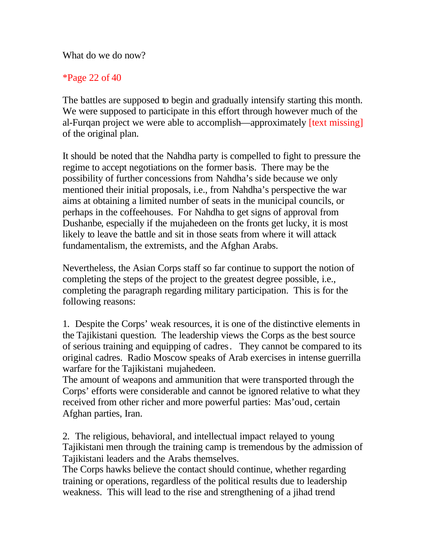What do we do now?

### \*Page 22 of 40

The battles are supposed to begin and gradually intensify starting this month. We were supposed to participate in this effort through however much of the al-Furqan project we were able to accomplish—approximately [text missing] of the original plan.

It should be noted that the Nahdha party is compelled to fight to pressure the regime to accept negotiations on the former basis. There may be the possibility of further concessions from Nahdha's side because we only mentioned their initial proposals, i.e., from Nahdha's perspective the war aims at obtaining a limited number of seats in the municipal councils, or perhaps in the coffeehouses. For Nahdha to get signs of approval from Dushanbe, especially if the mujahedeen on the fronts get lucky, it is most likely to leave the battle and sit in those seats from where it will attack fundamentalism, the extremists, and the Afghan Arabs.

Nevertheless, the Asian Corps staff so far continue to support the notion of completing the steps of the project to the greatest degree possible, i.e., completing the paragraph regarding military participation. This is for the following reasons:

1. Despite the Corps' weak resources, it is one of the distinctive elements in the Tajikistani question. The leadership views the Corps as the best source of serious training and equipping of cadres. They cannot be compared to its original cadres. Radio Moscow speaks of Arab exercises in intense guerrilla warfare for the Tajikistani mujahedeen.

The amount of weapons and ammunition that were transported through the Corps' efforts were considerable and cannot be ignored relative to what they received from other richer and more powerful parties: Mas'oud, certain Afghan parties, Iran.

2. The religious, behavioral, and intellectual impact relayed to young Tajikistani men through the training camp is tremendous by the admission of Tajikistani leaders and the Arabs themselves.

The Corps hawks believe the contact should continue, whether regarding training or operations, regardless of the political results due to leadership weakness. This will lead to the rise and strengthening of a jihad trend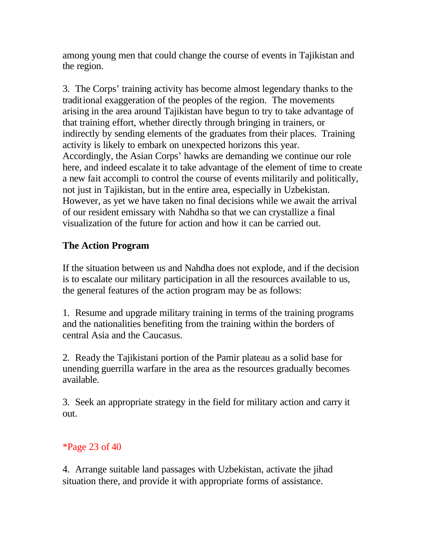among young men that could change the course of events in Tajikistan and the region.

3. The Corps' training activity has become almost legendary thanks to the traditional exaggeration of the peoples of the region. The movements arising in the area around Tajikistan have begun to try to take advantage of that training effort, whether directly through bringing in trainers, or indirectly by sending elements of the graduates from their places. Training activity is likely to embark on unexpected horizons this year. Accordingly, the Asian Corps' hawks are demanding we continue our role here, and indeed escalate it to take advantage of the element of time to create a new fait accompli to control the course of events militarily and politically, not just in Tajikistan, but in the entire area, especially in Uzbekistan. However, as yet we have taken no final decisions while we await the arrival of our resident emissary with Nahdha so that we can crystallize a final visualization of the future for action and how it can be carried out.

# **The Action Program**

If the situation between us and Nahdha does not explode, and if the decision is to escalate our military participation in all the resources available to us, the general features of the action program may be as follows:

1. Resume and upgrade military training in terms of the training programs and the nationalities benefiting from the training within the borders of central Asia and the Caucasus.

2. Ready the Tajikistani portion of the Pamir plateau as a solid base for unending guerrilla warfare in the area as the resources gradually becomes available.

3. Seek an appropriate strategy in the field for military action and carry it out.

# \*Page 23 of 40

4. Arrange suitable land passages with Uzbekistan, activate the jihad situation there, and provide it with appropriate forms of assistance.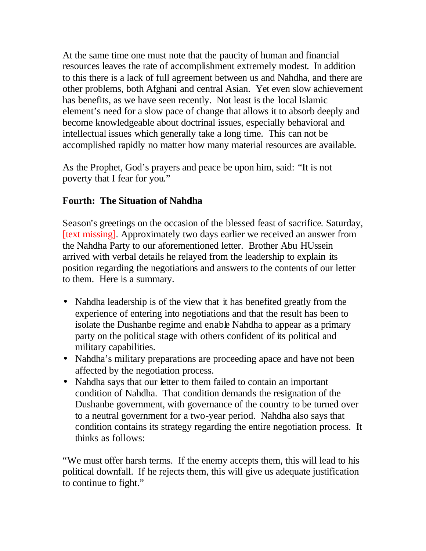At the same time one must note that the paucity of human and financial resources leaves the rate of accomplishment extremely modest. In addition to this there is a lack of full agreement between us and Nahdha, and there are other problems, both Afghani and central Asian. Yet even slow achievement has benefits, as we have seen recently. Not least is the local Islamic element's need for a slow pace of change that allows it to absorb deeply and become knowledgeable about doctrinal issues, especially behavioral and intellectual issues which generally take a long time. This can not be accomplished rapidly no matter how many material resources are available.

As the Prophet, God's prayers and peace be upon him, said: "It is not poverty that I fear for you."

# **Fourth: The Situation of Nahdha**

Season's greetings on the occasion of the blessed feast of sacrifice. Saturday, [text missing]. Approximately two days earlier we received an answer from the Nahdha Party to our aforementioned letter. Brother Abu HUssein arrived with verbal details he relayed from the leadership to explain its position regarding the negotiations and answers to the contents of our letter to them. Here is a summary.

- Nahdha leadership is of the view that it has benefited greatly from the experience of entering into negotiations and that the result has been to isolate the Dushanbe regime and enable Nahdha to appear as a primary party on the political stage with others confident of its political and military capabilities.
- Nahdha's military preparations are proceeding apace and have not been affected by the negotiation process.
- Nahdha says that our letter to them failed to contain an important condition of Nahdha. That condition demands the resignation of the Dushanbe government, with governance of the country to be turned over to a neutral government for a two-year period. Nahdha also says that condition contains its strategy regarding the entire negotiation process. It thinks as follows:

"We must offer harsh terms. If the enemy accepts them, this will lead to his political downfall. If he rejects them, this will give us adequate justification to continue to fight."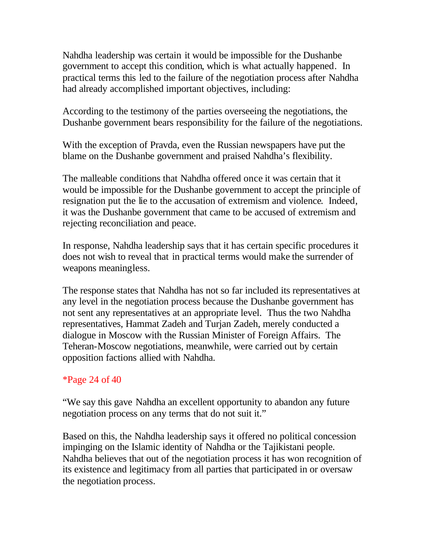Nahdha leadership was certain it would be impossible for the Dushanbe government to accept this condition, which is what actually happened. In practical terms this led to the failure of the negotiation process after Nahdha had already accomplished important objectives, including:

According to the testimony of the parties overseeing the negotiations, the Dushanbe government bears responsibility for the failure of the negotiations.

With the exception of Pravda, even the Russian newspapers have put the blame on the Dushanbe government and praised Nahdha's flexibility.

The malleable conditions that Nahdha offered once it was certain that it would be impossible for the Dushanbe government to accept the principle of resignation put the lie to the accusation of extremism and violence. Indeed, it was the Dushanbe government that came to be accused of extremism and rejecting reconciliation and peace.

In response, Nahdha leadership says that it has certain specific procedures it does not wish to reveal that in practical terms would make the surrender of weapons meaningless.

The response states that Nahdha has not so far included its representatives at any level in the negotiation process because the Dushanbe government has not sent any representatives at an appropriate level. Thus the two Nahdha representatives, Hammat Zadeh and Turjan Zadeh, merely conducted a dialogue in Moscow with the Russian Minister of Foreign Affairs. The Teheran-Moscow negotiations, meanwhile, were carried out by certain opposition factions allied with Nahdha.

### \*Page 24 of 40

"We say this gave Nahdha an excellent opportunity to abandon any future negotiation process on any terms that do not suit it."

Based on this, the Nahdha leadership says it offered no political concession impinging on the Islamic identity of Nahdha or the Tajikistani people. Nahdha believes that out of the negotiation process it has won recognition of its existence and legitimacy from all parties that participated in or oversaw the negotiation process.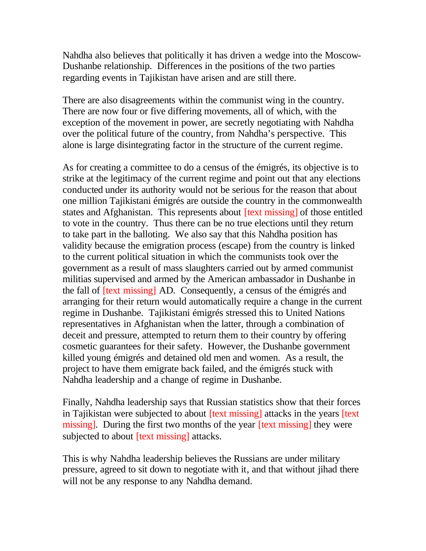Nahdha also believes that politically it has driven a wedge into the Moscow-Dushanbe relationship. Differences in the positions of the two parties regarding events in Tajikistan have arisen and are still there.

There are also disagreements within the communist wing in the country. There are now four or five differing movements, all of which, with the exception of the movement in power, are secretly negotiating with Nahdha over the political future of the country, from Nahdha's perspective. This alone is large disintegrating factor in the structure of the current regime.

As for creating a committee to do a census of the émigrés, its objective is to strike at the legitimacy of the current regime and point out that any elections conducted under its authority would not be serious for the reason that about one million Tajikistani émigrés are outside the country in the commonwealth states and Afghanistan. This represents about [text missing] of those entitled to vote in the country. Thus there can be no true elections until they return to take part in the balloting. We also say that this Nahdha position has validity because the emigration process (escape) from the country is linked to the current political situation in which the communists took over the government as a result of mass slaughters carried out by armed communist militias supervised and armed by the American ambassador in Dushanbe in the fall of [text missing] AD. Consequently, a census of the émigrés and arranging for their return would automatically require a change in the current regime in Dushanbe. Tajikistani émigrés stressed this to United Nations representatives in Afghanistan when the latter, through a combination of deceit and pressure, attempted to return them to their country by offering cosmetic guarantees for their safety. However, the Dushanbe government killed young émigrés and detained old men and women. As a result, the project to have them emigrate back failed, and the émigrés stuck with Nahdha leadership and a change of regime in Dushanbe.

Finally, Nahdha leadership says that Russian statistics show that their forces in Tajikistan were subjected to about [text missing] attacks in the years [text missing]. During the first two months of the year *[text missing]* they were subjected to about [text missing] attacks.

This is why Nahdha leadership believes the Russians are under military pressure, agreed to sit down to negotiate with it, and that without jihad there will not be any response to any Nahdha demand.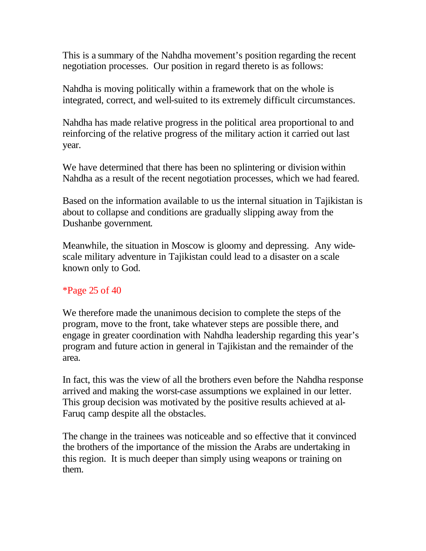This is a summary of the Nahdha movement's position regarding the recent negotiation processes. Our position in regard thereto is as follows:

Nahdha is moving politically within a framework that on the whole is integrated, correct, and well-suited to its extremely difficult circumstances.

Nahdha has made relative progress in the political area proportional to and reinforcing of the relative progress of the military action it carried out last year.

We have determined that there has been no splintering or division within Nahdha as a result of the recent negotiation processes, which we had feared.

Based on the information available to us the internal situation in Tajikistan is about to collapse and conditions are gradually slipping away from the Dushanbe government.

Meanwhile, the situation in Moscow is gloomy and depressing. Any widescale military adventure in Tajikistan could lead to a disaster on a scale known only to God.

# \*Page 25 of 40

We therefore made the unanimous decision to complete the steps of the program, move to the front, take whatever steps are possible there, and engage in greater coordination with Nahdha leadership regarding this year's program and future action in general in Tajikistan and the remainder of the area.

In fact, this was the view of all the brothers even before the Nahdha response arrived and making the worst-case assumptions we explained in our letter. This group decision was motivated by the positive results achieved at al-Faruq camp despite all the obstacles.

The change in the trainees was noticeable and so effective that it convinced the brothers of the importance of the mission the Arabs are undertaking in this region. It is much deeper than simply using weapons or training on them.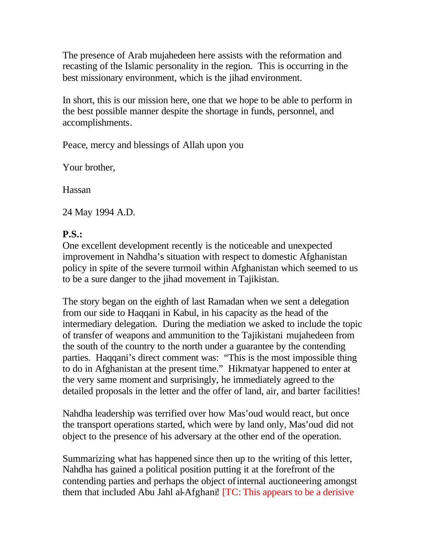The presence of Arab mujahedeen here assists with the reformation and recasting of the Islamic personality in the region. This is occurring in the best missionary environment, which is the jihad environment.

In short, this is our mission here, one that we hope to be able to perform in the best possible manner despite the shortage in funds, personnel, and accomplishments.

Peace, mercy and blessings of Allah upon you

Your brother,

Hassan

24 May 1994 A.D.

# **P.S.:**

One excellent development recently is the noticeable and unexpected improvement in Nahdha's situation with respect to domestic Afghanistan policy in spite of the severe turmoil within Afghanistan which seemed to us to be a sure danger to the jihad movement in Tajikistan.

The story began on the eighth of last Ramadan when we sent a delegation from our side to Haqqani in Kabul, in his capacity as the head of the intermediary delegation. During the mediation we asked to include the topic of transfer of weapons and ammunition to the Tajikistani mujahedeen from the south of the country to the north under a guarantee by the contending parties. Haqqani's direct comment was: "This is the most impossible thing to do in Afghanistan at the present time." Hikmatyar happened to enter at the very same moment and surprisingly, he immediately agreed to the detailed proposals in the letter and the offer of land, air, and barter facilities!

Nahdha leadership was terrified over how Mas'oud would react, but once the transport operations started, which were by land only, Mas'oud did not object to the presence of his adversary at the other end of the operation.

Summarizing what has happened since then up to the writing of this letter, Nahdha has gained a political position putting it at the forefront of the contending parties and perhaps the object of internal auctioneering amongst them that included Abu Jahl al-Afghani! [TC: This appears to be a derisive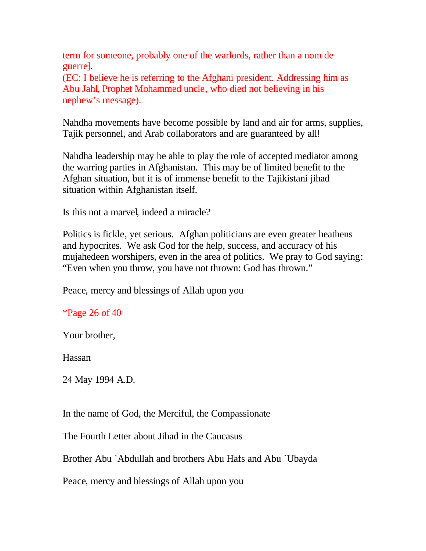term for someone, probably one of the warlords, rather than a nom de guerre].

(EC: I believe he is referring to the Afghani president. Addressing him as Abu Jahl, Prophet Mohammed uncle, who died not believing in his nephew's message).

Nahdha movements have become possible by land and air for arms, supplies, Tajik personnel, and Arab collaborators and are guaranteed by all!

Nahdha leadership may be able to play the role of accepted mediator among the warring parties in Afghanistan. This may be of limited benefit to the Afghan situation, but it is of immense benefit to the Tajikistani jihad situation within Afghanistan itself.

Is this not a marvel, indeed a miracle?

Politics is fickle, yet serious. Afghan politicians are even greater heathens and hypocrites. We ask God for the help, success, and accuracy of his mujahedeen worshipers, even in the area of politics. We pray to God saying: "Even when you throw, you have not thrown: God has thrown."

Peace, mercy and blessings of Allah upon you

\*Page 26 of 40

Your brother,

Hassan

24 May 1994 A.D.

In the name of God, the Merciful, the Compassionate

The Fourth Letter about Jihad in the Caucasus

Brother Abu `Abdullah and brothers Abu Hafs and Abu `Ubayda

Peace, mercy and blessings of Allah upon you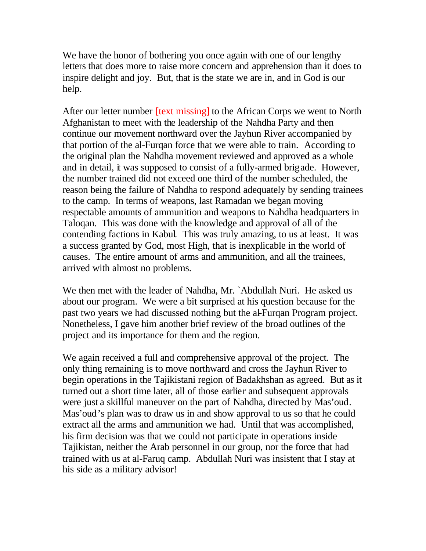We have the honor of bothering you once again with one of our lengthy letters that does more to raise more concern and apprehension than it does to inspire delight and joy. But, that is the state we are in, and in God is our help.

After our letter number *[text missing]* to the African Corps we went to North Afghanistan to meet with the leadership of the Nahdha Party and then continue our movement northward over the Jayhun River accompanied by that portion of the al-Furqan force that we were able to train. According to the original plan the Nahdha movement reviewed and approved as a whole and in detail, it was supposed to consist of a fully-armed brigade. However, the number trained did not exceed one third of the number scheduled, the reason being the failure of Nahdha to respond adequately by sending trainees to the camp. In terms of weapons, last Ramadan we began moving respectable amounts of ammunition and weapons to Nahdha headquarters in Taloqan. This was done with the knowledge and approval of all of the contending factions in Kabul. This was truly amazing, to us at least. It was a success granted by God, most High, that is inexplicable in the world of causes. The entire amount of arms and ammunition, and all the trainees, arrived with almost no problems.

We then met with the leader of Nahdha, Mr. `Abdullah Nuri. He asked us about our program. We were a bit surprised at his question because for the past two years we had discussed nothing but the al-Furqan Program project. Nonetheless, I gave him another brief review of the broad outlines of the project and its importance for them and the region.

We again received a full and comprehensive approval of the project. The only thing remaining is to move northward and cross the Jayhun River to begin operations in the Tajikistani region of Badakhshan as agreed. But as it turned out a short time later, all of those earlier and subsequent approvals were just a skillful maneuver on the part of Nahdha, directed by Mas'oud. Mas'oud's plan was to draw us in and show approval to us so that he could extract all the arms and ammunition we had. Until that was accomplished, his firm decision was that we could not participate in operations inside Tajikistan, neither the Arab personnel in our group, nor the force that had trained with us at al-Faruq camp. Abdullah Nuri was insistent that I stay at his side as a military advisor!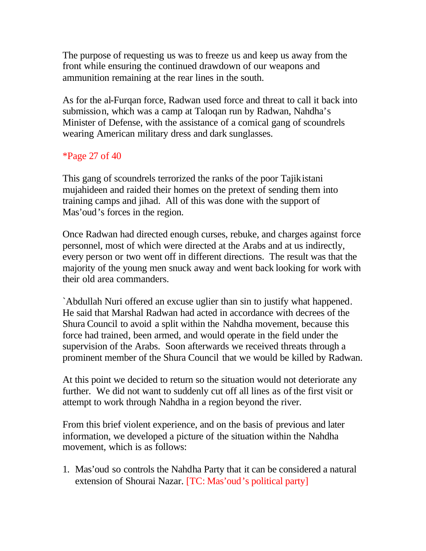The purpose of requesting us was to freeze us and keep us away from the front while ensuring the continued drawdown of our weapons and ammunition remaining at the rear lines in the south.

As for the al-Furqan force, Radwan used force and threat to call it back into submission, which was a camp at Taloqan run by Radwan, Nahdha's Minister of Defense, with the assistance of a comical gang of scoundrels wearing American military dress and dark sunglasses.

# \*Page 27 of 40

This gang of scoundrels terrorized the ranks of the poor Tajikistani mujahideen and raided their homes on the pretext of sending them into training camps and jihad. All of this was done with the support of Mas'oud's forces in the region.

Once Radwan had directed enough curses, rebuke, and charges against force personnel, most of which were directed at the Arabs and at us indirectly, every person or two went off in different directions. The result was that the majority of the young men snuck away and went back looking for work with their old area commanders.

`Abdullah Nuri offered an excuse uglier than sin to justify what happened. He said that Marshal Radwan had acted in accordance with decrees of the Shura Council to avoid a split within the Nahdha movement, because this force had trained, been armed, and would operate in the field under the supervision of the Arabs. Soon afterwards we received threats through a prominent member of the Shura Council that we would be killed by Radwan.

At this point we decided to return so the situation would not deteriorate any further. We did not want to suddenly cut off all lines as of the first visit or attempt to work through Nahdha in a region beyond the river.

From this brief violent experience, and on the basis of previous and later information, we developed a picture of the situation within the Nahdha movement, which is as follows:

1. Mas'oud so controls the Nahdha Party that it can be considered a natural extension of Shourai Nazar. [TC: Mas'oud's political party]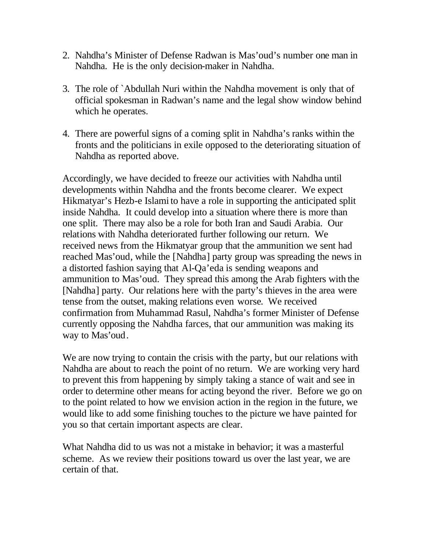- 2. Nahdha's Minister of Defense Radwan is Mas'oud's number one man in Nahdha. He is the only decision-maker in Nahdha.
- 3. The role of `Abdullah Nuri within the Nahdha movement is only that of official spokesman in Radwan's name and the legal show window behind which he operates.
- 4. There are powerful signs of a coming split in Nahdha's ranks within the fronts and the politicians in exile opposed to the deteriorating situation of Nahdha as reported above.

Accordingly, we have decided to freeze our activities with Nahdha until developments within Nahdha and the fronts become clearer. We expect Hikmatyar's Hezb-e Islami to have a role in supporting the anticipated split inside Nahdha. It could develop into a situation where there is more than one split. There may also be a role for both Iran and Saudi Arabia. Our relations with Nahdha deteriorated further following our return. We received news from the Hikmatyar group that the ammunition we sent had reached Mas'oud, while the [Nahdha] party group was spreading the news in a distorted fashion saying that Al-Qa'eda is sending weapons and ammunition to Mas'oud. They spread this among the Arab fighters with the [Nahdha] party. Our relations here with the party's thieves in the area were tense from the outset, making relations even worse. We received confirmation from Muhammad Rasul, Nahdha's former Minister of Defense currently opposing the Nahdha farces, that our ammunition was making its way to Mas'oud.

We are now trying to contain the crisis with the party, but our relations with Nahdha are about to reach the point of no return. We are working very hard to prevent this from happening by simply taking a stance of wait and see in order to determine other means for acting beyond the river. Before we go on to the point related to how we envision action in the region in the future, we would like to add some finishing touches to the picture we have painted for you so that certain important aspects are clear.

What Nahdha did to us was not a mistake in behavior; it was a masterful scheme. As we review their positions toward us over the last year, we are certain of that.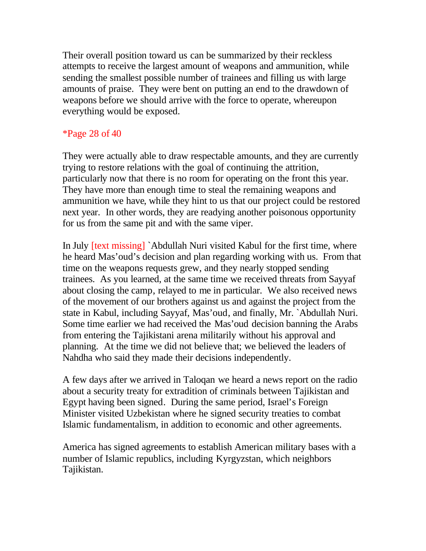Their overall position toward us can be summarized by their reckless attempts to receive the largest amount of weapons and ammunition, while sending the smallest possible number of trainees and filling us with large amounts of praise. They were bent on putting an end to the drawdown of weapons before we should arrive with the force to operate, whereupon everything would be exposed.

# \*Page 28 of 40

They were actually able to draw respectable amounts, and they are currently trying to restore relations with the goal of continuing the attrition, particularly now that there is no room for operating on the front this year. They have more than enough time to steal the remaining weapons and ammunition we have, while they hint to us that our project could be restored next year. In other words, they are readying another poisonous opportunity for us from the same pit and with the same viper.

In July [text missing] `Abdullah Nuri visited Kabul for the first time, where he heard Mas'oud's decision and plan regarding working with us. From that time on the weapons requests grew, and they nearly stopped sending trainees. As you learned, at the same time we received threats from Sayyaf about closing the camp, relayed to me in particular. We also received news of the movement of our brothers against us and against the project from the state in Kabul, including Sayyaf, Mas'oud, and finally, Mr. `Abdullah Nuri. Some time earlier we had received the Mas'oud decision banning the Arabs from entering the Tajikistani arena militarily without his approval and planning. At the time we did not believe that; we believed the leaders of Nahdha who said they made their decisions independently.

A few days after we arrived in Taloqan we heard a news report on the radio about a security treaty for extradition of criminals between Tajikistan and Egypt having been signed. During the same period, Israel's Foreign Minister visited Uzbekistan where he signed security treaties to combat Islamic fundamentalism, in addition to economic and other agreements.

America has signed agreements to establish American military bases with a number of Islamic republics, including Kyrgyzstan, which neighbors Tajikistan.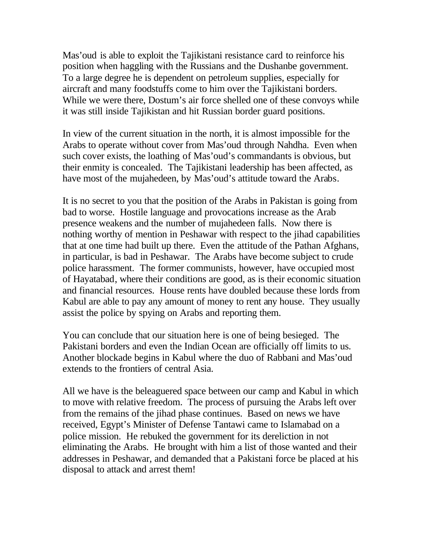Mas'oud is able to exploit the Tajikistani resistance card to reinforce his position when haggling with the Russians and the Dushanbe government. To a large degree he is dependent on petroleum supplies, especially for aircraft and many foodstuffs come to him over the Tajikistani borders. While we were there, Dostum's air force shelled one of these convoys while it was still inside Tajikistan and hit Russian border guard positions.

In view of the current situation in the north, it is almost impossible for the Arabs to operate without cover from Mas'oud through Nahdha. Even when such cover exists, the loathing of Mas'oud's commandants is obvious, but their enmity is concealed. The Tajikistani leadership has been affected, as have most of the mujahedeen, by Mas'oud's attitude toward the Arabs.

It is no secret to you that the position of the Arabs in Pakistan is going from bad to worse. Hostile language and provocations increase as the Arab presence weakens and the number of mujahedeen falls. Now there is nothing worthy of mention in Peshawar with respect to the jihad capabilities that at one time had built up there. Even the attitude of the Pathan Afghans, in particular, is bad in Peshawar. The Arabs have become subject to crude police harassment. The former communists, however, have occupied most of Hayatabad, where their conditions are good, as is their economic situation and financial resources. House rents have doubled because these lords from Kabul are able to pay any amount of money to rent any house. They usually assist the police by spying on Arabs and reporting them.

You can conclude that our situation here is one of being besieged. The Pakistani borders and even the Indian Ocean are officially off limits to us. Another blockade begins in Kabul where the duo of Rabbani and Mas'oud extends to the frontiers of central Asia.

All we have is the beleaguered space between our camp and Kabul in which to move with relative freedom. The process of pursuing the Arabs left over from the remains of the jihad phase continues. Based on news we have received, Egypt's Minister of Defense Tantawi came to Islamabad on a police mission. He rebuked the government for its dereliction in not eliminating the Arabs. He brought with him a list of those wanted and their addresses in Peshawar, and demanded that a Pakistani force be placed at his disposal to attack and arrest them!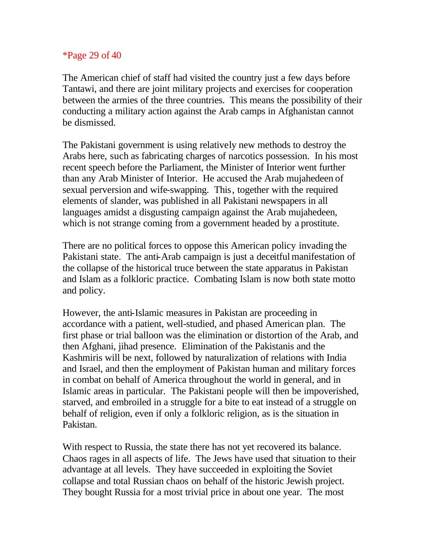#### \*Page 29 of 40

The American chief of staff had visited the country just a few days before Tantawi, and there are joint military projects and exercises for cooperation between the armies of the three countries. This means the possibility of their conducting a military action against the Arab camps in Afghanistan cannot be dismissed.

The Pakistani government is using relatively new methods to destroy the Arabs here, such as fabricating charges of narcotics possession. In his most recent speech before the Parliament, the Minister of Interior went further than any Arab Minister of Interior. He accused the Arab mujahedeen of sexual perversion and wife-swapping. This, together with the required elements of slander, was published in all Pakistani newspapers in all languages amidst a disgusting campaign against the Arab mujahedeen, which is not strange coming from a government headed by a prostitute.

There are no political forces to oppose this American policy invading the Pakistani state. The anti-Arab campaign is just a deceitful manifestation of the collapse of the historical truce between the state apparatus in Pakistan and Islam as a folkloric practice. Combating Islam is now both state motto and policy.

However, the anti-Islamic measures in Pakistan are proceeding in accordance with a patient, well-studied, and phased American plan. The first phase or trial balloon was the elimination or distortion of the Arab, and then Afghani, jihad presence. Elimination of the Pakistanis and the Kashmiris will be next, followed by naturalization of relations with India and Israel, and then the employment of Pakistan human and military forces in combat on behalf of America throughout the world in general, and in Islamic areas in particular. The Pakistani people will then be impoverished, starved, and embroiled in a struggle for a bite to eat instead of a struggle on behalf of religion, even if only a folkloric religion, as is the situation in Pakistan.

With respect to Russia, the state there has not yet recovered its balance. Chaos rages in all aspects of life. The Jews have used that situation to their advantage at all levels. They have succeeded in exploiting the Soviet collapse and total Russian chaos on behalf of the historic Jewish project. They bought Russia for a most trivial price in about one year. The most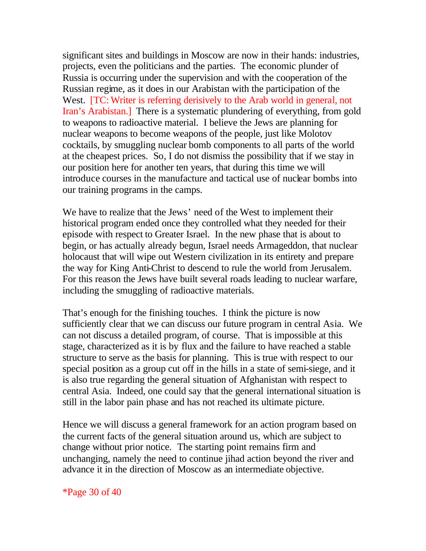significant sites and buildings in Moscow are now in their hands: industries, projects, even the politicians and the parties. The economic plunder of Russia is occurring under the supervision and with the cooperation of the Russian regime, as it does in our Arabistan with the participation of the West. [TC: Writer is referring derisively to the Arab world in general, not Iran's Arabistan.] There is a systematic plundering of everything, from gold to weapons to radioactive material. I believe the Jews are planning for nuclear weapons to become weapons of the people, just like Molotov cocktails, by smuggling nuclear bomb components to all parts of the world at the cheapest prices. So, I do not dismiss the possibility that if we stay in our position here for another ten years, that during this time we will introduce courses in the manufacture and tactical use of nuclear bombs into our training programs in the camps.

We have to realize that the Jews' need of the West to implement their historical program ended once they controlled what they needed for their episode with respect to Greater Israel. In the new phase that is about to begin, or has actually already begun, Israel needs Armageddon, that nuclear holocaust that will wipe out Western civilization in its entirety and prepare the way for King Anti-Christ to descend to rule the world from Jerusalem. For this reason the Jews have built several roads leading to nuclear warfare, including the smuggling of radioactive materials.

That's enough for the finishing touches. I think the picture is now sufficiently clear that we can discuss our future program in central Asia. We can not discuss a detailed program, of course. That is impossible at this stage, characterized as it is by flux and the failure to have reached a stable structure to serve as the basis for planning. This is true with respect to our special position as a group cut off in the hills in a state of semi-siege, and it is also true regarding the general situation of Afghanistan with respect to central Asia. Indeed, one could say that the general international situation is still in the labor pain phase and has not reached its ultimate picture.

Hence we will discuss a general framework for an action program based on the current facts of the general situation around us, which are subject to change without prior notice. The starting point remains firm and unchanging, namely the need to continue jihad action beyond the river and advance it in the direction of Moscow as an intermediate objective.

\*Page 30 of 40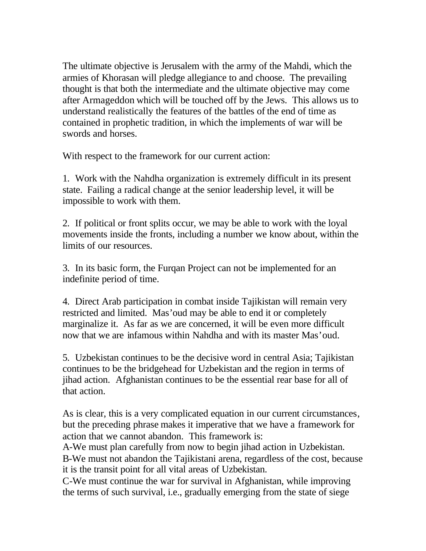The ultimate objective is Jerusalem with the army of the Mahdi, which the armies of Khorasan will pledge allegiance to and choose. The prevailing thought is that both the intermediate and the ultimate objective may come after Armageddon which will be touched off by the Jews. This allows us to understand realistically the features of the battles of the end of time as contained in prophetic tradition, in which the implements of war will be swords and horses.

With respect to the framework for our current action:

1. Work with the Nahdha organization is extremely difficult in its present state. Failing a radical change at the senior leadership level, it will be impossible to work with them.

2. If political or front splits occur, we may be able to work with the loyal movements inside the fronts, including a number we know about, within the limits of our resources.

3. In its basic form, the Furqan Project can not be implemented for an indefinite period of time.

4. Direct Arab participation in combat inside Tajikistan will remain very restricted and limited. Mas'oud may be able to end it or completely marginalize it. As far as we are concerned, it will be even more difficult now that we are infamous within Nahdha and with its master Mas'oud.

5. Uzbekistan continues to be the decisive word in central Asia; Tajikistan continues to be the bridgehead for Uzbekistan and the region in terms of jihad action. Afghanistan continues to be the essential rear base for all of that action.

As is clear, this is a very complicated equation in our current circumstances, but the preceding phrase makes it imperative that we have a framework for action that we cannot abandon. This framework is:

A-We must plan carefully from now to begin jihad action in Uzbekistan. B-We must not abandon the Tajikistani arena, regardless of the cost, because it is the transit point for all vital areas of Uzbekistan.

C-We must continue the war for survival in Afghanistan, while improving the terms of such survival, i.e., gradually emerging from the state of siege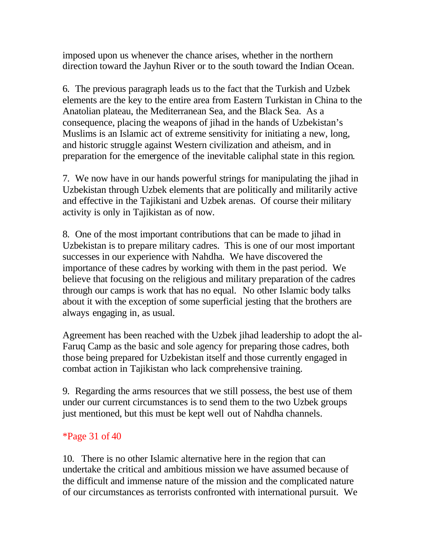imposed upon us whenever the chance arises, whether in the northern direction toward the Jayhun River or to the south toward the Indian Ocean.

6. The previous paragraph leads us to the fact that the Turkish and Uzbek elements are the key to the entire area from Eastern Turkistan in China to the Anatolian plateau, the Mediterranean Sea, and the Black Sea. As a consequence, placing the weapons of jihad in the hands of Uzbekistan's Muslims is an Islamic act of extreme sensitivity for initiating a new, long, and historic struggle against Western civilization and atheism, and in preparation for the emergence of the inevitable caliphal state in this region.

7. We now have in our hands powerful strings for manipulating the jihad in Uzbekistan through Uzbek elements that are politically and militarily active and effective in the Tajikistani and Uzbek arenas. Of course their military activity is only in Tajikistan as of now.

8. One of the most important contributions that can be made to jihad in Uzbekistan is to prepare military cadres. This is one of our most important successes in our experience with Nahdha. We have discovered the importance of these cadres by working with them in the past period. We believe that focusing on the religious and military preparation of the cadres through our camps is work that has no equal. No other Islamic body talks about it with the exception of some superficial jesting that the brothers are always engaging in, as usual.

Agreement has been reached with the Uzbek jihad leadership to adopt the al-Faruq Camp as the basic and sole agency for preparing those cadres, both those being prepared for Uzbekistan itself and those currently engaged in combat action in Tajikistan who lack comprehensive training.

9. Regarding the arms resources that we still possess, the best use of them under our current circumstances is to send them to the two Uzbek groups just mentioned, but this must be kept well out of Nahdha channels.

# \*Page 31 of 40

10. There is no other Islamic alternative here in the region that can undertake the critical and ambitious mission we have assumed because of the difficult and immense nature of the mission and the complicated nature of our circumstances as terrorists confronted with international pursuit. We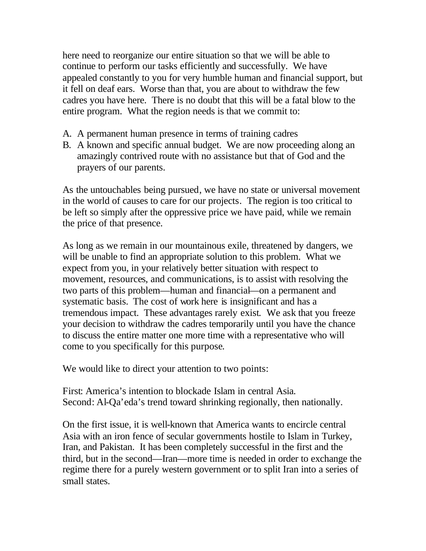here need to reorganize our entire situation so that we will be able to continue to perform our tasks efficiently and successfully. We have appealed constantly to you for very humble human and financial support, but it fell on deaf ears. Worse than that, you are about to withdraw the few cadres you have here. There is no doubt that this will be a fatal blow to the entire program. What the region needs is that we commit to:

- A. A permanent human presence in terms of training cadres
- B. A known and specific annual budget. We are now proceeding along an amazingly contrived route with no assistance but that of God and the prayers of our parents.

As the untouchables being pursued, we have no state or universal movement in the world of causes to care for our projects. The region is too critical to be left so simply after the oppressive price we have paid, while we remain the price of that presence.

As long as we remain in our mountainous exile, threatened by dangers, we will be unable to find an appropriate solution to this problem. What we expect from you, in your relatively better situation with respect to movement, resources, and communications, is to assist with resolving the two parts of this problem—human and financial—on a permanent and systematic basis. The cost of work here is insignificant and has a tremendous impact. These advantages rarely exist. We ask that you freeze your decision to withdraw the cadres temporarily until you have the chance to discuss the entire matter one more time with a representative who will come to you specifically for this purpose.

We would like to direct your attention to two points:

First: America's intention to blockade Islam in central Asia. Second: Al-Qa'eda's trend toward shrinking regionally, then nationally.

On the first issue, it is well-known that America wants to encircle central Asia with an iron fence of secular governments hostile to Islam in Turkey, Iran, and Pakistan. It has been completely successful in the first and the third, but in the second—Iran—more time is needed in order to exchange the regime there for a purely western government or to split Iran into a series of small states.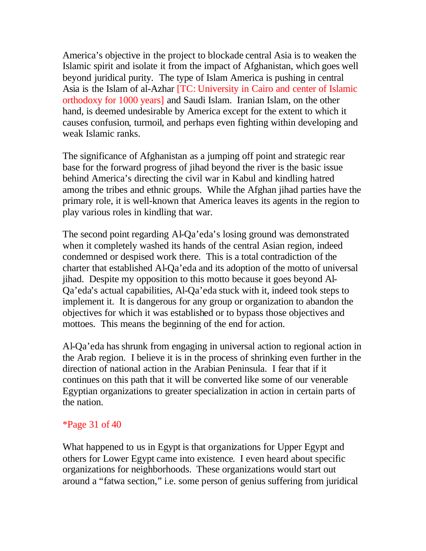America's objective in the project to blockade central Asia is to weaken the Islamic spirit and isolate it from the impact of Afghanistan, which goes well beyond juridical purity. The type of Islam America is pushing in central Asia is the Islam of al-Azhar [TC: University in Cairo and center of Islamic orthodoxy for 1000 years] and Saudi Islam. Iranian Islam, on the other hand, is deemed undesirable by America except for the extent to which it causes confusion, turmoil, and perhaps even fighting within developing and weak Islamic ranks.

The significance of Afghanistan as a jumping off point and strategic rear base for the forward progress of jihad beyond the river is the basic issue behind America's directing the civil war in Kabul and kindling hatred among the tribes and ethnic groups. While the Afghan jihad parties have the primary role, it is well-known that America leaves its agents in the region to play various roles in kindling that war.

The second point regarding Al-Qa'eda's losing ground was demonstrated when it completely washed its hands of the central Asian region, indeed condemned or despised work there. This is a total contradiction of the charter that established Al-Qa'eda and its adoption of the motto of universal jihad. Despite my opposition to this motto because it goes beyond Al-Qa'eda's actual capabilities, Al-Qa'eda stuck with it, indeed took steps to implement it. It is dangerous for any group or organization to abandon the objectives for which it was established or to bypass those objectives and mottoes. This means the beginning of the end for action.

Al-Qa'eda has shrunk from engaging in universal action to regional action in the Arab region. I believe it is in the process of shrinking even further in the direction of national action in the Arabian Peninsula. I fear that if it continues on this path that it will be converted like some of our venerable Egyptian organizations to greater specialization in action in certain parts of the nation.

### \*Page 31 of 40

What happened to us in Egypt is that organizations for Upper Egypt and others for Lower Egypt came into existence. I even heard about specific organizations for neighborhoods. These organizations would start out around a "fatwa section," i.e. some person of genius suffering from juridical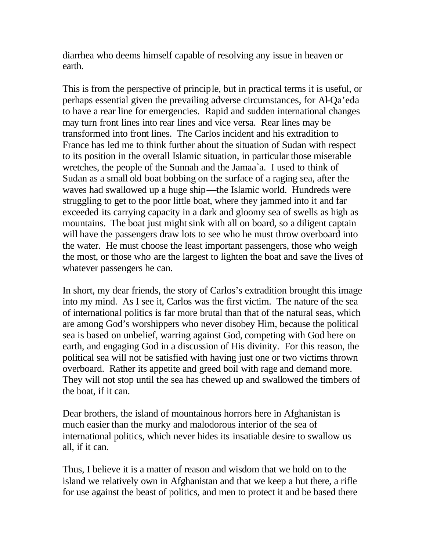diarrhea who deems himself capable of resolving any issue in heaven or earth.

This is from the perspective of principle, but in practical terms it is useful, or perhaps essential given the prevailing adverse circumstances, for Al-Qa'eda to have a rear line for emergencies. Rapid and sudden international changes may turn front lines into rear lines and vice versa. Rear lines may be transformed into front lines. The Carlos incident and his extradition to France has led me to think further about the situation of Sudan with respect to its position in the overall Islamic situation, in particular those miserable wretches, the people of the Sunnah and the Jamaa`a. I used to think of Sudan as a small old boat bobbing on the surface of a raging sea, after the waves had swallowed up a huge ship—the Islamic world. Hundreds were struggling to get to the poor little boat, where they jammed into it and far exceeded its carrying capacity in a dark and gloomy sea of swells as high as mountains. The boat just might sink with all on board, so a diligent captain will have the passengers draw lots to see who he must throw overboard into the water. He must choose the least important passengers, those who weigh the most, or those who are the largest to lighten the boat and save the lives of whatever passengers he can.

In short, my dear friends, the story of Carlos's extradition brought this image into my mind. As I see it, Carlos was the first victim. The nature of the sea of international politics is far more brutal than that of the natural seas, which are among God's worshippers who never disobey Him, because the political sea is based on unbelief, warring against God, competing with God here on earth, and engaging God in a discussion of His divinity. For this reason, the political sea will not be satisfied with having just one or two victims thrown overboard. Rather its appetite and greed boil with rage and demand more. They will not stop until the sea has chewed up and swallowed the timbers of the boat, if it can.

Dear brothers, the island of mountainous horrors here in Afghanistan is much easier than the murky and malodorous interior of the sea of international politics, which never hides its insatiable desire to swallow us all, if it can.

Thus, I believe it is a matter of reason and wisdom that we hold on to the island we relatively own in Afghanistan and that we keep a hut there, a rifle for use against the beast of politics, and men to protect it and be based there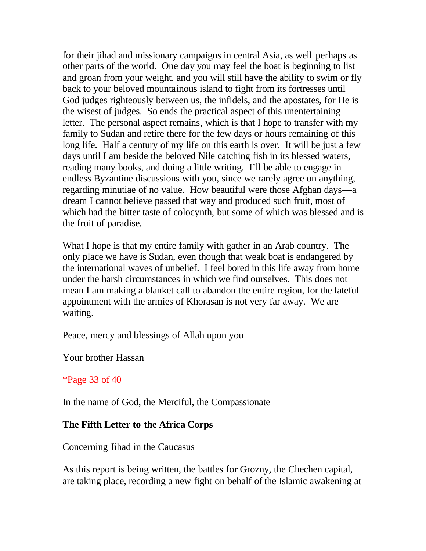for their jihad and missionary campaigns in central Asia, as well perhaps as other parts of the world. One day you may feel the boat is beginning to list and groan from your weight, and you will still have the ability to swim or fly back to your beloved mountainous island to fight from its fortresses until God judges righteously between us, the infidels, and the apostates, for He is the wisest of judges. So ends the practical aspect of this unentertaining letter. The personal aspect remains, which is that I hope to transfer with my family to Sudan and retire there for the few days or hours remaining of this long life. Half a century of my life on this earth is over. It will be just a few days until I am beside the beloved Nile catching fish in its blessed waters, reading many books, and doing a little writing. I'll be able to engage in endless Byzantine discussions with you, since we rarely agree on anything, regarding minutiae of no value. How beautiful were those Afghan days—a dream I cannot believe passed that way and produced such fruit, most of which had the bitter taste of colocynth, but some of which was blessed and is the fruit of paradise.

What I hope is that my entire family with gather in an Arab country. The only place we have is Sudan, even though that weak boat is endangered by the international waves of unbelief. I feel bored in this life away from home under the harsh circumstances in which we find ourselves. This does not mean I am making a blanket call to abandon the entire region, for the fateful appointment with the armies of Khorasan is not very far away. We are waiting.

Peace, mercy and blessings of Allah upon you

Your brother Hassan

# \*Page 33 of 40

In the name of God, the Merciful, the Compassionate

# **The Fifth Letter to the Africa Corps**

Concerning Jihad in the Caucasus

As this report is being written, the battles for Grozny, the Chechen capital, are taking place, recording a new fight on behalf of the Islamic awakening at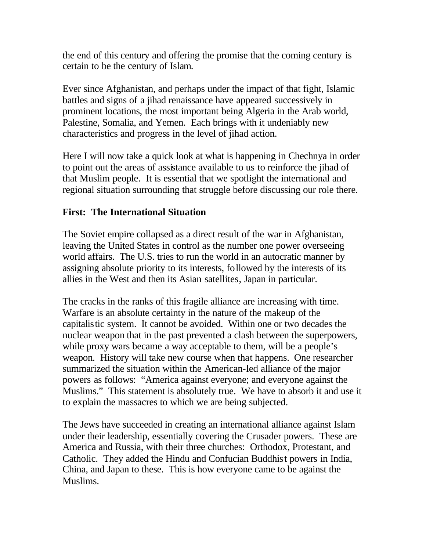the end of this century and offering the promise that the coming century is certain to be the century of Islam.

Ever since Afghanistan, and perhaps under the impact of that fight, Islamic battles and signs of a jihad renaissance have appeared successively in prominent locations, the most important being Algeria in the Arab world, Palestine, Somalia, and Yemen. Each brings with it undeniably new characteristics and progress in the level of jihad action.

Here I will now take a quick look at what is happening in Chechnya in order to point out the areas of assistance available to us to reinforce the jihad of that Muslim people. It is essential that we spotlight the international and regional situation surrounding that struggle before discussing our role there.

# **First: The International Situation**

The Soviet empire collapsed as a direct result of the war in Afghanistan, leaving the United States in control as the number one power overseeing world affairs. The U.S. tries to run the world in an autocratic manner by assigning absolute priority to its interests, followed by the interests of its allies in the West and then its Asian satellites, Japan in particular.

The cracks in the ranks of this fragile alliance are increasing with time. Warfare is an absolute certainty in the nature of the makeup of the capitalistic system. It cannot be avoided. Within one or two decades the nuclear weapon that in the past prevented a clash between the superpowers, while proxy wars became a way acceptable to them, will be a people's weapon. History will take new course when that happens. One researcher summarized the situation within the American-led alliance of the major powers as follows: "America against everyone; and everyone against the Muslims." This statement is absolutely true. We have to absorb it and use it to explain the massacres to which we are being subjected.

The Jews have succeeded in creating an international alliance against Islam under their leadership, essentially covering the Crusader powers. These are America and Russia, with their three churches: Orthodox, Protestant, and Catholic. They added the Hindu and Confucian Buddhist powers in India, China, and Japan to these. This is how everyone came to be against the Muslims.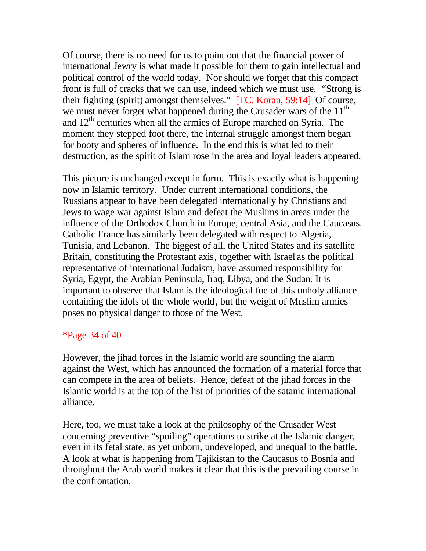Of course, there is no need for us to point out that the financial power of international Jewry is what made it possible for them to gain intellectual and political control of the world today. Nor should we forget that this compact front is full of cracks that we can use, indeed which we must use. "Strong is their fighting (spirit) amongst themselves." [TC. Koran, 59:14] Of course, we must never forget what happened during the Crusader wars of the  $11<sup>th</sup>$ and  $12<sup>th</sup>$  centuries when all the armies of Europe marched on Syria. The moment they stepped foot there, the internal struggle amongst them began for booty and spheres of influence. In the end this is what led to their destruction, as the spirit of Islam rose in the area and loyal leaders appeared.

This picture is unchanged except in form. This is exactly what is happening now in Islamic territory. Under current international conditions, the Russians appear to have been delegated internationally by Christians and Jews to wage war against Islam and defeat the Muslims in areas under the influence of the Orthodox Church in Europe, central Asia, and the Caucasus. Catholic France has similarly been delegated with respect to Algeria, Tunisia, and Lebanon. The biggest of all, the United States and its satellite Britain, constituting the Protestant axis, together with Israel as the political representative of international Judaism, have assumed responsibility for Syria, Egypt, the Arabian Peninsula, Iraq, Libya, and the Sudan. It is important to observe that Islam is the ideological foe of this unholy alliance containing the idols of the whole world, but the weight of Muslim armies poses no physical danger to those of the West.

### \*Page 34 of 40

However, the jihad forces in the Islamic world are sounding the alarm against the West, which has announced the formation of a material force that can compete in the area of beliefs. Hence, defeat of the jihad forces in the Islamic world is at the top of the list of priorities of the satanic international alliance.

Here, too, we must take a look at the philosophy of the Crusader West concerning preventive "spoiling" operations to strike at the Islamic danger, even in its fetal state, as yet unborn, undeveloped, and unequal to the battle. A look at what is happening from Tajikistan to the Caucasus to Bosnia and throughout the Arab world makes it clear that this is the prevailing course in the confrontation.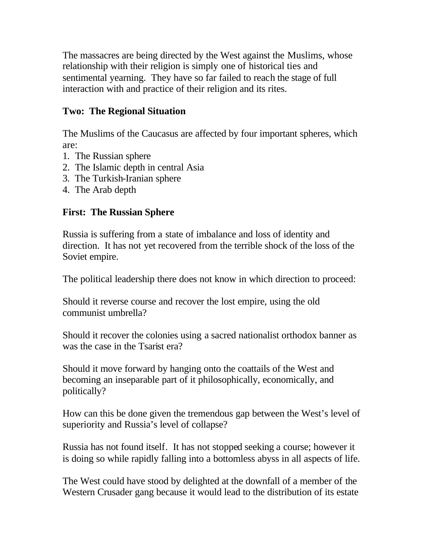The massacres are being directed by the West against the Muslims, whose relationship with their religion is simply one of historical ties and sentimental yearning. They have so far failed to reach the stage of full interaction with and practice of their religion and its rites.

# **Two: The Regional Situation**

The Muslims of the Caucasus are affected by four important spheres, which are:

- 1. The Russian sphere
- 2. The Islamic depth in central Asia
- 3. The Turkish-Iranian sphere
- 4. The Arab depth

# **First: The Russian Sphere**

Russia is suffering from a state of imbalance and loss of identity and direction. It has not yet recovered from the terrible shock of the loss of the Soviet empire.

The political leadership there does not know in which direction to proceed:

Should it reverse course and recover the lost empire, using the old communist umbrella?

Should it recover the colonies using a sacred nationalist orthodox banner as was the case in the Tsarist era?

Should it move forward by hanging onto the coattails of the West and becoming an inseparable part of it philosophically, economically, and politically?

How can this be done given the tremendous gap between the West's level of superiority and Russia's level of collapse?

Russia has not found itself. It has not stopped seeking a course; however it is doing so while rapidly falling into a bottomless abyss in all aspects of life.

The West could have stood by delighted at the downfall of a member of the Western Crusader gang because it would lead to the distribution of its estate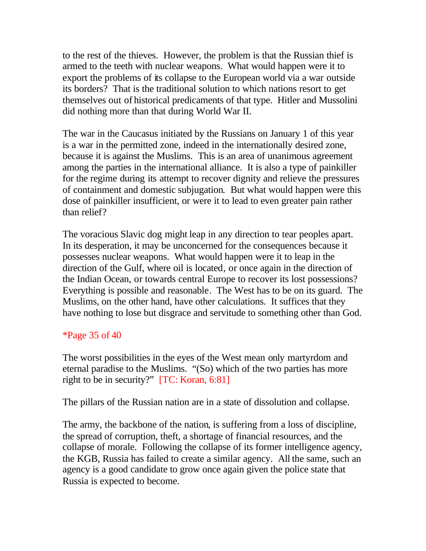to the rest of the thieves. However, the problem is that the Russian thief is armed to the teeth with nuclear weapons. What would happen were it to export the problems of its collapse to the European world via a war outside its borders? That is the traditional solution to which nations resort to get themselves out of historical predicaments of that type. Hitler and Mussolini did nothing more than that during World War II.

The war in the Caucasus initiated by the Russians on January 1 of this year is a war in the permitted zone, indeed in the internationally desired zone, because it is against the Muslims. This is an area of unanimous agreement among the parties in the international alliance. It is also a type of painkiller for the regime during its attempt to recover dignity and relieve the pressures of containment and domestic subjugation. But what would happen were this dose of painkiller insufficient, or were it to lead to even greater pain rather than relief?

The voracious Slavic dog might leap in any direction to tear peoples apart. In its desperation, it may be unconcerned for the consequences because it possesses nuclear weapons. What would happen were it to leap in the direction of the Gulf, where oil is located, or once again in the direction of the Indian Ocean, or towards central Europe to recover its lost possessions? Everything is possible and reasonable. The West has to be on its guard. The Muslims, on the other hand, have other calculations. It suffices that they have nothing to lose but disgrace and servitude to something other than God.

### \*Page 35 of 40

The worst possibilities in the eyes of the West mean only martyrdom and eternal paradise to the Muslims. "(So) which of the two parties has more right to be in security?" [TC: Koran, 6:81]

The pillars of the Russian nation are in a state of dissolution and collapse.

The army, the backbone of the nation, is suffering from a loss of discipline, the spread of corruption, theft, a shortage of financial resources, and the collapse of morale. Following the collapse of its former intelligence agency, the KGB, Russia has failed to create a similar agency. All the same, such an agency is a good candidate to grow once again given the police state that Russia is expected to become.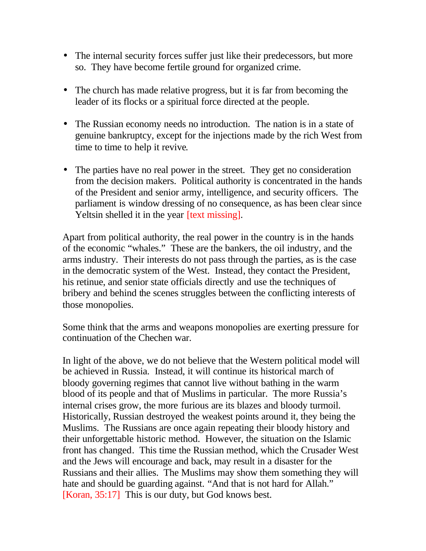- The internal security forces suffer just like their predecessors, but more so. They have become fertile ground for organized crime.
- The church has made relative progress, but it is far from becoming the leader of its flocks or a spiritual force directed at the people.
- The Russian economy needs no introduction. The nation is in a state of genuine bankruptcy, except for the injections made by the rich West from time to time to help it revive.
- The parties have no real power in the street. They get no consideration from the decision makers. Political authority is concentrated in the hands of the President and senior army, intelligence, and security officers. The parliament is window dressing of no consequence, as has been clear since Yeltsin shelled it in the year *[text missing]*.

Apart from political authority, the real power in the country is in the hands of the economic "whales." These are the bankers, the oil industry, and the arms industry. Their interests do not pass through the parties, as is the case in the democratic system of the West. Instead, they contact the President, his retinue, and senior state officials directly and use the techniques of bribery and behind the scenes struggles between the conflicting interests of those monopolies.

Some think that the arms and weapons monopolies are exerting pressure for continuation of the Chechen war.

In light of the above, we do not believe that the Western political model will be achieved in Russia. Instead, it will continue its historical march of bloody governing regimes that cannot live without bathing in the warm blood of its people and that of Muslims in particular. The more Russia's internal crises grow, the more furious are its blazes and bloody turmoil. Historically, Russian destroyed the weakest points around it, they being the Muslims. The Russians are once again repeating their bloody history and their unforgettable historic method. However, the situation on the Islamic front has changed. This time the Russian method, which the Crusader West and the Jews will encourage and back, may result in a disaster for the Russians and their allies. The Muslims may show them something they will hate and should be guarding against. "And that is not hard for Allah." [Koran, 35:17] This is our duty, but God knows best.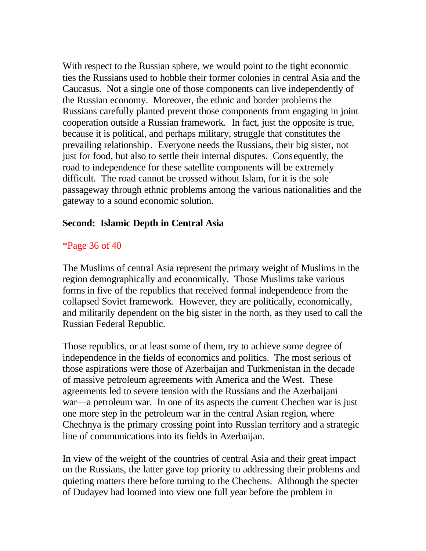With respect to the Russian sphere, we would point to the tight economic ties the Russians used to hobble their former colonies in central Asia and the Caucasus. Not a single one of those components can live independently of the Russian economy. Moreover, the ethnic and border problems the Russians carefully planted prevent those components from engaging in joint cooperation outside a Russian framework. In fact, just the opposite is true, because it is political, and perhaps military, struggle that constitutes the prevailing relationship. Everyone needs the Russians, their big sister, not just for food, but also to settle their internal disputes. Consequently, the road to independence for these satellite components will be extremely difficult. The road cannot be crossed without Islam, for it is the sole passageway through ethnic problems among the various nationalities and the gateway to a sound economic solution.

### **Second: Islamic Depth in Central Asia**

### \*Page 36 of 40

The Muslims of central Asia represent the primary weight of Muslims in the region demographically and economically. Those Muslims take various forms in five of the republics that received formal independence from the collapsed Soviet framework. However, they are politically, economically, and militarily dependent on the big sister in the north, as they used to call the Russian Federal Republic.

Those republics, or at least some of them, try to achieve some degree of independence in the fields of economics and politics. The most serious of those aspirations were those of Azerbaijan and Turkmenistan in the decade of massive petroleum agreements with America and the West. These agreements led to severe tension with the Russians and the Azerbaijani war—a petroleum war. In one of its aspects the current Chechen war is just one more step in the petroleum war in the central Asian region, where Chechnya is the primary crossing point into Russian territory and a strategic line of communications into its fields in Azerbaijan.

In view of the weight of the countries of central Asia and their great impact on the Russians, the latter gave top priority to addressing their problems and quieting matters there before turning to the Chechens. Although the specter of Dudayev had loomed into view one full year before the problem in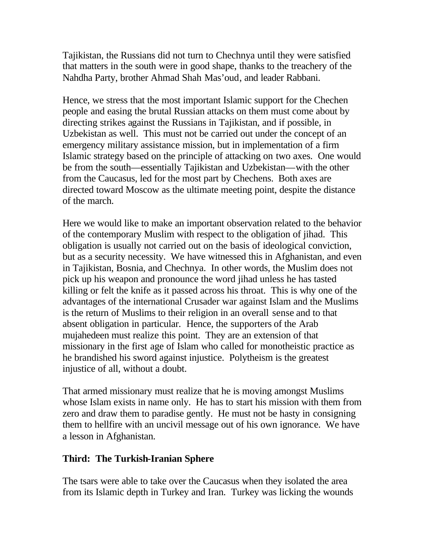Tajikistan, the Russians did not turn to Chechnya until they were satisfied that matters in the south were in good shape, thanks to the treachery of the Nahdha Party, brother Ahmad Shah Mas'oud, and leader Rabbani.

Hence, we stress that the most important Islamic support for the Chechen people and easing the brutal Russian attacks on them must come about by directing strikes against the Russians in Tajikistan, and if possible, in Uzbekistan as well. This must not be carried out under the concept of an emergency military assistance mission, but in implementation of a firm Islamic strategy based on the principle of attacking on two axes. One would be from the south—essentially Tajikistan and Uzbekistan—with the other from the Caucasus, led for the most part by Chechens. Both axes are directed toward Moscow as the ultimate meeting point, despite the distance of the march.

Here we would like to make an important observation related to the behavior of the contemporary Muslim with respect to the obligation of jihad. This obligation is usually not carried out on the basis of ideological conviction, but as a security necessity. We have witnessed this in Afghanistan, and even in Tajikistan, Bosnia, and Chechnya. In other words, the Muslim does not pick up his weapon and pronounce the word jihad unless he has tasted killing or felt the knife as it passed across his throat. This is why one of the advantages of the international Crusader war against Islam and the Muslims is the return of Muslims to their religion in an overall sense and to that absent obligation in particular. Hence, the supporters of the Arab mujahedeen must realize this point. They are an extension of that missionary in the first age of Islam who called for monotheistic practice as he brandished his sword against injustice. Polytheism is the greatest injustice of all, without a doubt.

That armed missionary must realize that he is moving amongst Muslims whose Islam exists in name only. He has to start his mission with them from zero and draw them to paradise gently. He must not be hasty in consigning them to hellfire with an uncivil message out of his own ignorance. We have a lesson in Afghanistan.

# **Third: The Turkish-Iranian Sphere**

The tsars were able to take over the Caucasus when they isolated the area from its Islamic depth in Turkey and Iran. Turkey was licking the wounds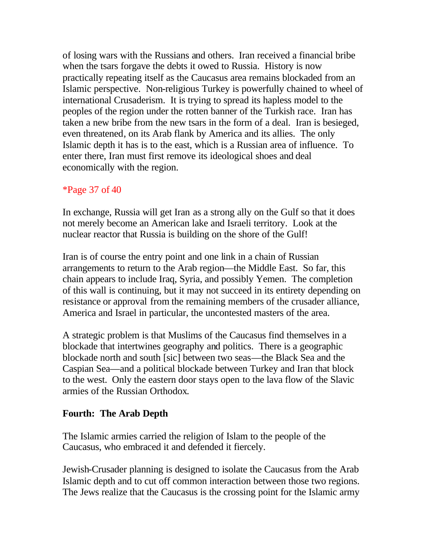of losing wars with the Russians and others. Iran received a financial bribe when the tsars forgave the debts it owed to Russia. History is now practically repeating itself as the Caucasus area remains blockaded from an Islamic perspective. Non-religious Turkey is powerfully chained to wheel of international Crusaderism. It is trying to spread its hapless model to the peoples of the region under the rotten banner of the Turkish race. Iran has taken a new bribe from the new tsars in the form of a deal. Iran is besieged, even threatened, on its Arab flank by America and its allies. The only Islamic depth it has is to the east, which is a Russian area of influence. To enter there, Iran must first remove its ideological shoes and deal economically with the region.

### \*Page 37 of 40

In exchange, Russia will get Iran as a strong ally on the Gulf so that it does not merely become an American lake and Israeli territory. Look at the nuclear reactor that Russia is building on the shore of the Gulf!

Iran is of course the entry point and one link in a chain of Russian arrangements to return to the Arab region—the Middle East. So far, this chain appears to include Iraq, Syria, and possibly Yemen. The completion of this wall is continuing, but it may not succeed in its entirety depending on resistance or approval from the remaining members of the crusader alliance, America and Israel in particular, the uncontested masters of the area.

A strategic problem is that Muslims of the Caucasus find themselves in a blockade that intertwines geography and politics. There is a geographic blockade north and south [sic] between two seas—the Black Sea and the Caspian Sea—and a political blockade between Turkey and Iran that block to the west. Only the eastern door stays open to the lava flow of the Slavic armies of the Russian Orthodox.

### **Fourth: The Arab Depth**

The Islamic armies carried the religion of Islam to the people of the Caucasus, who embraced it and defended it fiercely.

Jewish-Crusader planning is designed to isolate the Caucasus from the Arab Islamic depth and to cut off common interaction between those two regions. The Jews realize that the Caucasus is the crossing point for the Islamic army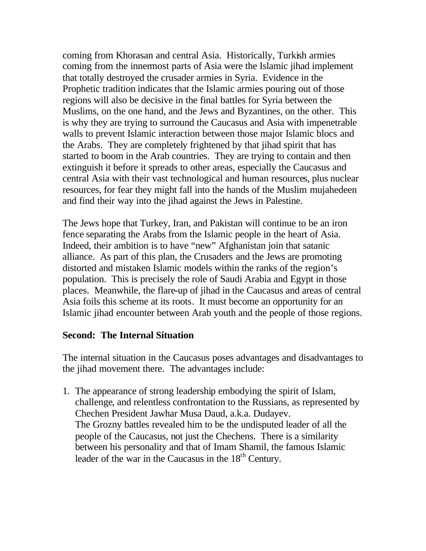coming from Khorasan and central Asia. Historically, Turkish armies coming from the innermost parts of Asia were the Islamic jihad implement that totally destroyed the crusader armies in Syria. Evidence in the Prophetic tradition indicates that the Islamic armies pouring out of those regions will also be decisive in the final battles for Syria between the Muslims, on the one hand, and the Jews and Byzantines, on the other. This is why they are trying to surround the Caucasus and Asia with impenetrable walls to prevent Islamic interaction between those major Islamic blocs and the Arabs. They are completely frightened by that jihad spirit that has started to boom in the Arab countries. They are trying to contain and then extinguish it before it spreads to other areas, especially the Caucasus and central Asia with their vast technological and human resources, plus nuclear resources, for fear they might fall into the hands of the Muslim mujahedeen and find their way into the jihad against the Jews in Palestine.

The Jews hope that Turkey, Iran, and Pakistan will continue to be an iron fence separating the Arabs from the Islamic people in the heart of Asia. Indeed, their ambition is to have "new" Afghanistan join that satanic alliance. As part of this plan, the Crusaders and the Jews are promoting distorted and mistaken Islamic models within the ranks of the region's population. This is precisely the role of Saudi Arabia and Egypt in those places. Meanwhile, the flare-up of jihad in the Caucasus and areas of central Asia foils this scheme at its roots. It must become an opportunity for an Islamic jihad encounter between Arab youth and the people of those regions.

### **Second: The Internal Situation**

The internal situation in the Caucasus poses advantages and disadvantages to the jihad movement there. The advantages include:

1. The appearance of strong leadership embodying the spirit of Islam, challenge, and relentless confrontation to the Russians, as represented by Chechen President Jawhar Musa Daud, a.k.a. Dudayev. The Grozny battles revealed him to be the undisputed leader of all the people of the Caucasus, not just the Chechens. There is a similarity between his personality and that of Imam Shamil, the famous Islamic leader of the war in the Caucasus in the  $18<sup>th</sup>$  Century.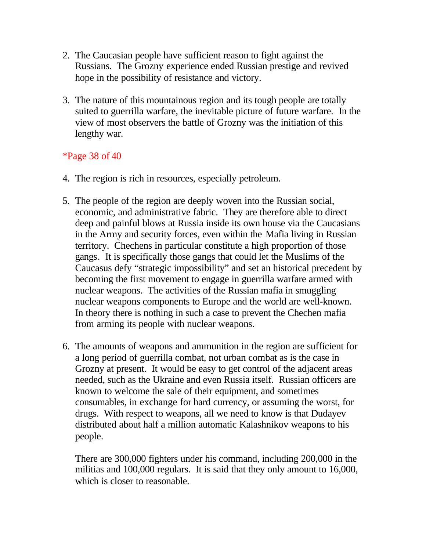- 2. The Caucasian people have sufficient reason to fight against the Russians. The Grozny experience ended Russian prestige and revived hope in the possibility of resistance and victory.
- 3. The nature of this mountainous region and its tough people are totally suited to guerrilla warfare, the inevitable picture of future warfare. In the view of most observers the battle of Grozny was the initiation of this lengthy war.

### \*Page 38 of 40

- 4. The region is rich in resources, especially petroleum.
- 5. The people of the region are deeply woven into the Russian social, economic, and administrative fabric. They are therefore able to direct deep and painful blows at Russia inside its own house via the Caucasians in the Army and security forces, even within the Mafia living in Russian territory. Chechens in particular constitute a high proportion of those gangs. It is specifically those gangs that could let the Muslims of the Caucasus defy "strategic impossibility" and set an historical precedent by becoming the first movement to engage in guerrilla warfare armed with nuclear weapons. The activities of the Russian mafia in smuggling nuclear weapons components to Europe and the world are well-known. In theory there is nothing in such a case to prevent the Chechen mafia from arming its people with nuclear weapons.
- 6. The amounts of weapons and ammunition in the region are sufficient for a long period of guerrilla combat, not urban combat as is the case in Grozny at present. It would be easy to get control of the adjacent areas needed, such as the Ukraine and even Russia itself. Russian officers are known to welcome the sale of their equipment, and sometimes consumables, in exchange for hard currency, or assuming the worst, for drugs. With respect to weapons, all we need to know is that Dudayev distributed about half a million automatic Kalashnikov weapons to his people.

There are 300,000 fighters under his command, including 200,000 in the militias and 100,000 regulars. It is said that they only amount to 16,000, which is closer to reasonable.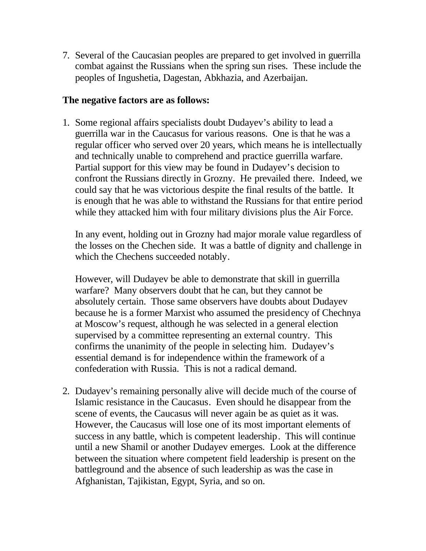7. Several of the Caucasian peoples are prepared to get involved in guerrilla combat against the Russians when the spring sun rises. These include the peoples of Ingushetia, Dagestan, Abkhazia, and Azerbaijan.

### **The negative factors are as follows:**

1. Some regional affairs specialists doubt Dudayev's ability to lead a guerrilla war in the Caucasus for various reasons. One is that he was a regular officer who served over 20 years, which means he is intellectually and technically unable to comprehend and practice guerrilla warfare. Partial support for this view may be found in Dudayev's decision to confront the Russians directly in Grozny. He prevailed there. Indeed, we could say that he was victorious despite the final results of the battle. It is enough that he was able to withstand the Russians for that entire period while they attacked him with four military divisions plus the Air Force.

In any event, holding out in Grozny had major morale value regardless of the losses on the Chechen side. It was a battle of dignity and challenge in which the Chechens succeeded notably.

However, will Dudayev be able to demonstrate that skill in guerrilla warfare? Many observers doubt that he can, but they cannot be absolutely certain. Those same observers have doubts about Dudayev because he is a former Marxist who assumed the presidency of Chechnya at Moscow's request, although he was selected in a general election supervised by a committee representing an external country. This confirms the unanimity of the people in selecting him. Dudayev's essential demand is for independence within the framework of a confederation with Russia. This is not a radical demand.

2. Dudayev's remaining personally alive will decide much of the course of Islamic resistance in the Caucasus. Even should he disappear from the scene of events, the Caucasus will never again be as quiet as it was. However, the Caucasus will lose one of its most important elements of success in any battle, which is competent leadership. This will continue until a new Shamil or another Dudayev emerges. Look at the difference between the situation where competent field leadership is present on the battleground and the absence of such leadership as was the case in Afghanistan, Tajikistan, Egypt, Syria, and so on.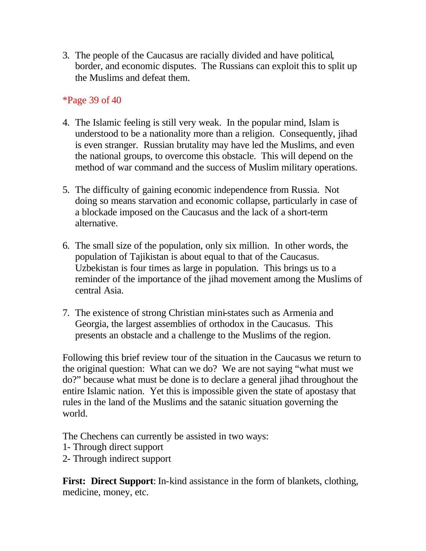3. The people of the Caucasus are racially divided and have political, border, and economic disputes. The Russians can exploit this to split up the Muslims and defeat them.

## \*Page 39 of 40

- 4. The Islamic feeling is still very weak. In the popular mind, Islam is understood to be a nationality more than a religion. Consequently, jihad is even stranger. Russian brutality may have led the Muslims, and even the national groups, to overcome this obstacle. This will depend on the method of war command and the success of Muslim military operations.
- 5. The difficulty of gaining economic independence from Russia. Not doing so means starvation and economic collapse, particularly in case of a blockade imposed on the Caucasus and the lack of a short-term alternative.
- 6. The small size of the population, only six million. In other words, the population of Tajikistan is about equal to that of the Caucasus. Uzbekistan is four times as large in population. This brings us to a reminder of the importance of the jihad movement among the Muslims of central Asia.
- 7. The existence of strong Christian mini-states such as Armenia and Georgia, the largest assemblies of orthodox in the Caucasus. This presents an obstacle and a challenge to the Muslims of the region.

Following this brief review tour of the situation in the Caucasus we return to the original question: What can we do? We are not saying "what must we do?" because what must be done is to declare a general jihad throughout the entire Islamic nation. Yet this is impossible given the state of apostasy that rules in the land of the Muslims and the satanic situation governing the world.

The Chechens can currently be assisted in two ways:

- 1- Through direct support
- 2- Through indirect support

**First: Direct Support**: In-kind assistance in the form of blankets, clothing, medicine, money, etc.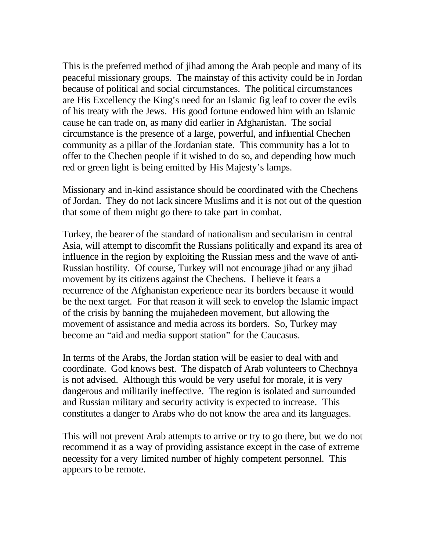This is the preferred method of jihad among the Arab people and many of its peaceful missionary groups. The mainstay of this activity could be in Jordan because of political and social circumstances. The political circumstances are His Excellency the King's need for an Islamic fig leaf to cover the evils of his treaty with the Jews. His good fortune endowed him with an Islamic cause he can trade on, as many did earlier in Afghanistan. The social circumstance is the presence of a large, powerful, and influential Chechen community as a pillar of the Jordanian state. This community has a lot to offer to the Chechen people if it wished to do so, and depending how much red or green light is being emitted by His Majesty's lamps.

Missionary and in-kind assistance should be coordinated with the Chechens of Jordan. They do not lack sincere Muslims and it is not out of the question that some of them might go there to take part in combat.

Turkey, the bearer of the standard of nationalism and secularism in central Asia, will attempt to discomfit the Russians politically and expand its area of influence in the region by exploiting the Russian mess and the wave of anti-Russian hostility. Of course, Turkey will not encourage jihad or any jihad movement by its citizens against the Chechens. I believe it fears a recurrence of the Afghanistan experience near its borders because it would be the next target. For that reason it will seek to envelop the Islamic impact of the crisis by banning the mujahedeen movement, but allowing the movement of assistance and media across its borders. So, Turkey may become an "aid and media support station" for the Caucasus.

In terms of the Arabs, the Jordan station will be easier to deal with and coordinate. God knows best. The dispatch of Arab volunteers to Chechnya is not advised. Although this would be very useful for morale, it is very dangerous and militarily ineffective. The region is isolated and surrounded and Russian military and security activity is expected to increase. This constitutes a danger to Arabs who do not know the area and its languages.

This will not prevent Arab attempts to arrive or try to go there, but we do not recommend it as a way of providing assistance except in the case of extreme necessity for a very limited number of highly competent personnel. This appears to be remote.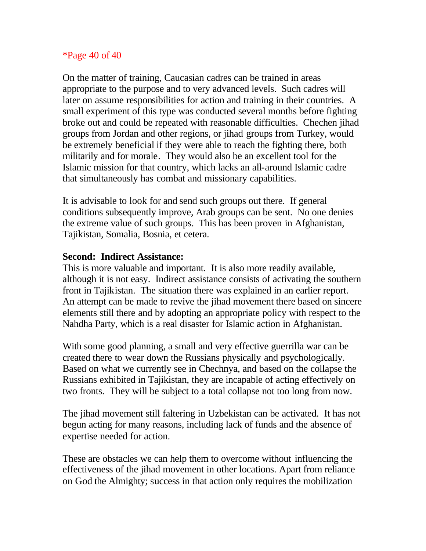## \*Page 40 of 40

On the matter of training, Caucasian cadres can be trained in areas appropriate to the purpose and to very advanced levels. Such cadres will later on assume responsibilities for action and training in their countries. A small experiment of this type was conducted several months before fighting broke out and could be repeated with reasonable difficulties. Chechen jihad groups from Jordan and other regions, or jihad groups from Turkey, would be extremely beneficial if they were able to reach the fighting there, both militarily and for morale. They would also be an excellent tool for the Islamic mission for that country, which lacks an all-around Islamic cadre that simultaneously has combat and missionary capabilities.

It is advisable to look for and send such groups out there. If general conditions subsequently improve, Arab groups can be sent. No one denies the extreme value of such groups. This has been proven in Afghanistan, Tajikistan, Somalia, Bosnia, et cetera.

## **Second: Indirect Assistance:**

This is more valuable and important. It is also more readily available, although it is not easy. Indirect assistance consists of activating the southern front in Tajikistan. The situation there was explained in an earlier report. An attempt can be made to revive the jihad movement there based on sincere elements still there and by adopting an appropriate policy with respect to the Nahdha Party, which is a real disaster for Islamic action in Afghanistan.

With some good planning, a small and very effective guerrilla war can be created there to wear down the Russians physically and psychologically. Based on what we currently see in Chechnya, and based on the collapse the Russians exhibited in Tajikistan, they are incapable of acting effectively on two fronts. They will be subject to a total collapse not too long from now.

The jihad movement still faltering in Uzbekistan can be activated. It has not begun acting for many reasons, including lack of funds and the absence of expertise needed for action.

These are obstacles we can help them to overcome without influencing the effectiveness of the jihad movement in other locations. Apart from reliance on God the Almighty; success in that action only requires the mobilization